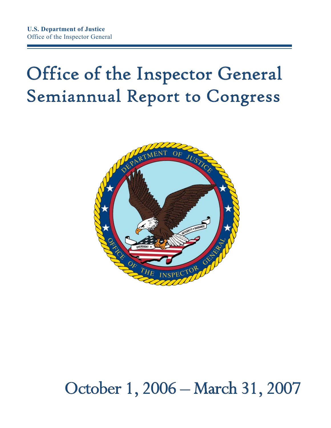## Office of the Inspector General Semiannual Report to Congress



## October 1, 2006 – March 31, 2007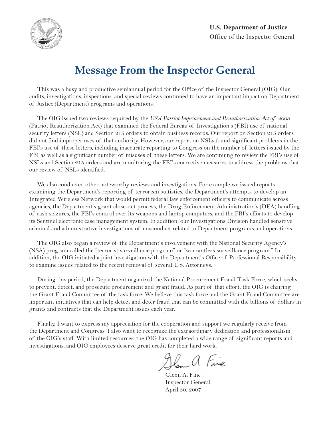

## **Message From the Inspector General**

This was a busy and productive semiannual period for the Office of the Inspector General (OIG). Our audits, investigations, inspections, and special reviews continued to have an important impact on Department of Justice (Department) programs and operations.

 The OIG issued two reviews required by the *USA Patriot Improvement and Reauthorization Act of 2005*  (Patriot Reauthorization Act) that examined the Federal Bureau of Investigation's (FBI) use of national security letters (NSL) and Section 215 orders to obtain business records. Our report on Section 215 orders did not find improper uses of that authority. However, our report on NSLs found significant problems in the FBI's use of these letters, including inaccurate reporting to Congress on the number of letters issued by the FBI as well as a significant number of misuses of these letters. We are continuing to review the FBI's use of NSLs and Section 215 orders and are monitoring the FBI's corrective measures to address the problems that our review of NSLs identified.

 We also conducted other noteworthy reviews and investigations. For example we issued reports examining the Department's reporting of terrorism statistics, the Department's attempts to develop an Integrated Wireless Network that would permit federal law enforcement officers to communicate across agencies, the Department's grant close-out process, the Drug Enforcement Administration's (DEA) handling of cash seizures, the FBI's control over its weapons and laptop computers, and the FBI's efforts to develop its Sentinel electronic case management system. In addition, our Investigations Division handled sensitive criminal and administrative investigations of misconduct related to Department programs and operations.

 The OIG also began a review of the Department's involvement with the National Security Agency's (NSA) program called the "terrorist surveillance program" or "warrantless surveillance program." In addition, the OIG initiated a joint investigation with the Department's Office of Professional Responsibility to examine issues related to the recent removal of several U.S. Attorneys.

 During this period, the Department organized the National Procurement Fraud Task Force, which seeks to prevent, detect, and prosecute procurement and grant fraud. As part of that effort, the OIG is chairing the Grant Fraud Committee of the task force. We believe this task force and the Grant Fraud Committee are important initiatives that can help detect and deter fraud that can be committed with the billions of dollars in grants and contracts that the Department issues each year.

 Finally, I want to express my appreciation for the cooperation and support we regularly receive from the Department and Congress. I also want to recognize the extraordinary dedication and professionalism of the OIG's staff. With limited resources, the OIG has completed a wide range of significant reports and investigations, and OIG employees deserve great credit for their hard work.

Glen a Fine

 Glenn A. Fine Inspector General April 30, 2007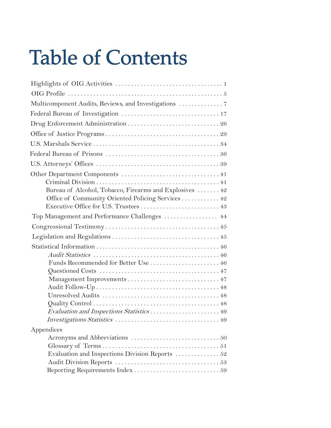## Table of Contents

| Multicomponent Audits, Reviews, and Investigations  7   |
|---------------------------------------------------------|
|                                                         |
|                                                         |
|                                                         |
|                                                         |
|                                                         |
|                                                         |
|                                                         |
|                                                         |
| Bureau of Alcohol, Tobacco, Firearms and Explosives  42 |
| Office of Community Oriented Policing Services 42       |
| Executive Office for U.S. Trustees  43                  |
| Top Management and Performance Challenges  44           |
|                                                         |
|                                                         |
|                                                         |
|                                                         |
| Funds Recommended for Better Use  46                    |
|                                                         |
|                                                         |
|                                                         |
|                                                         |
|                                                         |
|                                                         |
|                                                         |
| Appendices                                              |
|                                                         |
|                                                         |
| Evaluation and Inspections Division Reports  52         |
|                                                         |
|                                                         |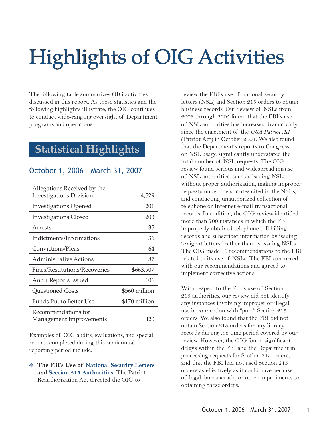## Highlights of OIG Activities ighlights

The following table summarizes OIG activities discussed in this report. As these statistics and the following highlights illustrate, the OIG continues to conduct wide-ranging oversight of Department programs and operations.

### **Statistical Highlights**

#### October 1, 2006 – March 31, 2007

| Allegations Received by the    |               |
|--------------------------------|---------------|
| <b>Investigations Division</b> | 4,529         |
| <b>Investigations Opened</b>   | 201           |
| <b>Investigations Closed</b>   | 203           |
| Arrests                        | 35            |
| Indictments/Informations       | 36            |
| Convictions/Pleas              | 64            |
| Administrative Actions         | 87            |
| Fines/Restitutions/Recoveries  | \$663,907     |
| <b>Audit Reports Issued</b>    | 106           |
| <b>Questioned Costs</b>        | \$560 million |
| Funds Put to Better Use        | \$170 million |
| Recommendations for            |               |
| Management Improvements        | 420           |

Examples of OIG audits, evaluations, and special reports completed during this semiannual reporting period include:

#### - **The FBI's Use of [National Security Letters](http://www.usdoj.gov/oig/special/s0703b/final.pdf) and [Section 215 Authorities](http://www.usdoj.gov/oig/special/s0703a/final.pdf).** The Patriot Reauthorization Act directed the OIG to

review the FBI's use of national security letters (NSL) and Section 215 orders to obtain business records. Our review of NSLs from 2003 through 2005 found that the FBI's use of NSL authorities has increased dramatically since the enactment of the *USA Patriot Act*  (Patriot Act) in October 2001. We also found that the Department's reports to Congress on NSL usage significantly understated the total number of NSL requests. The OIG review found serious and widespread misuse of NSL authorities, such as issuing NSLs without proper authorization, making improper requests under the statutes cited in the NSLs, and conducting unauthorized collection of telephone or Internet e-mail transactional records. In addition, the OIG review identified more than 700 instances in which the FBI improperly obtained telephone toll billing records and subscriber information by issuing "exigent letters" rather than by issuing NSLs. The OIG made 10 recommendations to the FBI related to its use of NSLs. The FBI concurred with our recommendations and agreed to implement corrective actions.

 With respect to the FBI's use of Section 215 authorities, our review did not identify any instances involving improper or illegal use in connection with "pure" Section 215 orders. We also found that the FBI did not obtain Section 215 orders for any library records during the time period covered by our review. However, the OIG found significant delays within the FBI and the Department in processing requests for Section 215 orders, and that the FBI had not used Section 215 orders as effectively as it could have because of legal, bureaucratic, or other impediments to obtaining these orders.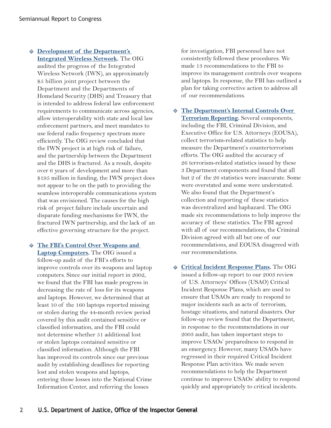- **[Development of the Department's](http://www.usdoj.gov/oig/reports/OBD/a0725/final.pdf)  Integrated Wireless Network.** The OIG audited the progress of the Integrated Wireless Network (IWN), an approximately \$5 billion joint project between the Department and the Departments of Homeland Security (DHS) and Treasury that is intended to address federal law enforcement requirements to communicate across agencies, allow interoperability with state and local law enforcement partners, and meet mandates to use federal radio frequency spectrum more efficiently. The OIG review concluded that the IWN project is at high risk of failure, and the partnership between the Department and the DHS is fractured. As a result, despite over 6 years of development and more than \$195 million in funding, the IWN project does not appear to be on the path to providing the seamless interoperable communications system that was envisioned. The causes for the high risk of project failure include uncertain and disparate funding mechanisms for IWN, the fractured IWN partnership, and the lack of an effective governing structure for the project.

- **[The FBI's Control Over Weapons and](http://www.usdoj.gov/oig/reports/FBI/a0718/final.pdf) Laptop Computers.** The OIG issued a follow-up audit of the FBI's efforts to improve controls over its weapons and laptop computers. Since our initial report in 2002, we found that the FBI has made progress in decreasing the rate of loss for its weapons and laptops. However, we determined that at least 10 of the 160 laptops reported missing or stolen during the 44-month review period covered by this audit contained sensitive or classified information, and the FBI could not determine whether 51 additional lost or stolen laptops contained sensitive or classified information. Although the FBI has improved its controls since our previous audit by establishing deadlines for reporting lost and stolen weapons and laptops, entering those losses into the National Crime Information Center, and referring the losses

for investigation, FBI personnel have not consistently followed these procedures. We made 13 recommendations to the FBI to improve its management controls over weapons and laptops. In response, the FBI has outlined a plan for taking corrective action to address all of our recommendations.

- **[The Department's Internal Controls Over](http://www.usdoj.gov/oig/reports/plus/a0720/final.pdf) Terrorism Reporting.** Several components, including the FBI, Criminal Division, and Executive Office for U.S. Attorneys (EOUSA), collect terrorism-related statistics to help measure the Department's counterterrorism efforts. The OIG audited the accuracy of 26 terrorism-related statistics issued by these 3 Department components and found that all but 2 of the 26 statistics were inaccurate. Some were overstated and some were understated. We also found that the Department's collection and reporting of these statistics was decentralized and haphazard. The OIG made six recommendations to help improve the accuracy of these statistics. The FBI agreed with all of our recommendations, the Criminal Division agreed with all but one of our recommendations, and EOUSA disagreed with our recommendations.
- **[Critical Incident Response Plans](http://www.usdoj.gov/oig/reports/EOUSA/e0701/final.pdf).** The OIG issued a follow-up report to our 2003 review of U.S. Attorneys' Offices (USAO) Critical Incident Response Plans, which are used to ensure that USAOs are ready to respond to major incidents such as acts of terrorism, hostage situations, and natural disasters. Our follow-up review found that the Department, in response to the recommendations in our 2003 audit, has taken important steps to improve USAOs' preparedness to respond in an emergency. However, many USAOs have regressed in their required Critical Incident Response Plan activities. We made seven recommendations to help the Department continue to improve USAOs' ability to respond quickly and appropriately to critical incidents.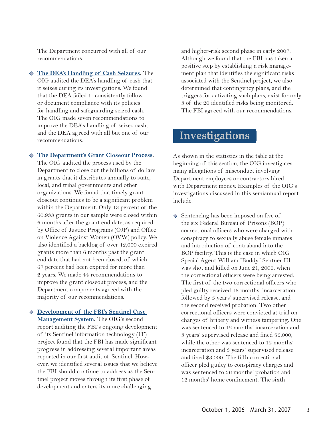The Department concurred with all of our recommendations.

- **[The DEA's Handling of Cash Seizures.](http://www.usdoj.gov/oig/reports/DEA/a0706/final.pdf)** The OIG audited the DEA's handling of cash that it seizes during its investigations. We found that the DEA failed to consistently follow or document compliance with its policies for handling and safeguarding seized cash. The OIG made seven recommendations to improve the DEA's handling of seized cash, and the DEA agreed with all but one of our recommendations.

#### - **[The Department's Grant Closeout Process](http://www.usdoj.gov/oig/reports/plus/a0705/final.pdf).**

The OIG audited the process used by the Department to close out the billions of dollars in grants that it distributes annually to state, local, and tribal governments and other organizations. We found that timely grant closeout continues to be a significant problem within the Department. Only 13 percent of the 60,933 grants in our sample were closed within 6 months after the grant end date, as required by Office of Justice Programs (OJP) and Office on Violence Against Women (OVW) policy. We also identified a backlog of over 12,000 expired grants more than 6 months past the grant end date that had not been closed, of which 67 percent had been expired for more than 2 years. We made 44 recommendations to improve the grant closeout process, and the Department components agreed with the majority of our recommendations.

#### - **[Development of the FBI's Sentinel Case](http://www.usdoj.gov/oig/reports/FBI/a0703/final.pdf) Management System.** The OIG's second report auditing the FBI's ongoing development of its Sentinel information technology (IT) project found that the FBI has made significant progress in addressing several important areas reported in our first audit of Sentinel. However, we identified several issues that we believe the FBI should continue to address as the Sentinel project moves through its first phase of development and enters its more challenging

and higher-risk second phase in early 2007. Although we found that the FBI has taken a positive step by establishing a risk management plan that identifies the significant risks associated with the Sentinel project, we also determined that contingency plans, and the triggers for activating such plans, exist for only 3 of the 20 identified risks being monitored. The FBI agreed with our recommendations.

### **Investigations**

As shown in the statistics in the table at the beginning of this section, the OIG investigates many allegations of misconduct involving Department employees or contractors hired with Department money. Examples of the OIG's investigations discussed in this semiannual report include:

- Sentencing has been imposed on five of the six Federal Bureau of Prisons (BOP) correctional officers who were charged with conspiracy to sexually abuse female inmates and introduction of contraband into the BOP facility. This is the case in which OIG Special Agent William "Buddy" Sentner III was shot and killed on June 21, 2006, when the correctional officers were being arrested. The first of the two correctional officers who pled guilty received 12 months' incarceration followed by 3 years' supervised release, and the second received probation. Two other correctional officers were convicted at trial on charges of bribery and witness tampering. One was sentenced to 12 months' incarceration and 3 years' supervised release and fined \$6,000, while the other was sentenced to 12 months' incarceration and 3 years' supervised release and fined \$3,000. The fifth correctional officer pled guilty to conspiracy charges and was sentenced to 36 months' probation and 12 months' home confinement. The sixth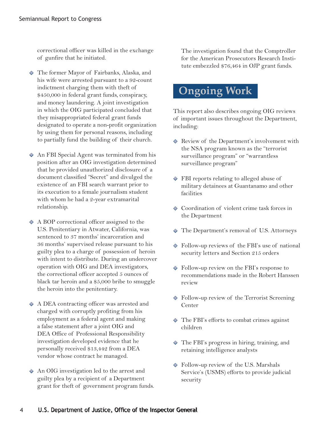correctional officer was killed in the exchange of gunfire that he initiated.

- The former Mayor of Fairbanks, Alaska, and his wife were arrested pursuant to a 92-count indictment charging them with theft of \$450,000 in federal grant funds, conspiracy, and money laundering. A joint investigation in which the OIG participated concluded that they misappropriated federal grant funds designated to operate a non-profit organization by using them for personal reasons, including to partially fund the building of their church.
- $\Diamond$  An FBI Special Agent was terminated from his position after an OIG investigation determined that he provided unauthorized disclosure of a document classified "Secret" and divulged the existence of an FBI search warrant prior to its execution to a female journalism student with whom he had a 2-year extramarital relationship.
- $\triangle$  A BOP correctional officer assigned to the U.S. Penitentiary in Atwater, California, was sentenced to 37 months' incarceration and 36 months' supervised release pursuant to his guilty plea to a charge of possession of heroin with intent to distribute. During an undercover operation with OIG and DEA investigators, the correctional officer accepted 5 ounces of black tar heroin and a \$5,000 bribe to smuggle the heroin into the penitentiary.
- $\triangle$  A DEA contracting officer was arrested and charged with corruptly profiting from his employment as a federal agent and making a false statement after a joint OIG and DEA Office of Professional Responsibility investigation developed evidence that he personally received \$13,442 from a DEA vendor whose contract he managed.
- $\Diamond$  An OIG investigation led to the arrest and guilty plea by a recipient of a Department grant for theft of government program funds.

The investigation found that the Comptroller for the American Prosecutors Research Institute embezzled \$76,464 in OJP grant funds.

## **Ongoing Work**

This report also describes ongoing OIG reviews of important issues throughout the Department, including:

- Review of the Department's involvement with the NSA program known as the "terrorist surveillance program" or "warrantless surveillance program"
- FBI reports relating to alleged abuse of military detainees at Guantanamo and other facilities
- $\Diamond$  Coordination of violent crime task forces in the Department
- The Department's removal of U.S. Attorneys
- Follow-up reviews of the FBI's use of national security letters and Section 215 orders
- ◆ Follow-up review on the FBI's response to recommendations made in the Robert Hanssen review
- ◆ Follow-up review of the Terrorist Screening Center
- The FBI's efforts to combat crimes against children
- The FBI's progress in hiring, training, and retaining intelligence analysts
- Follow-up review of the U.S. Marshals Service's (USMS) efforts to provide judicial security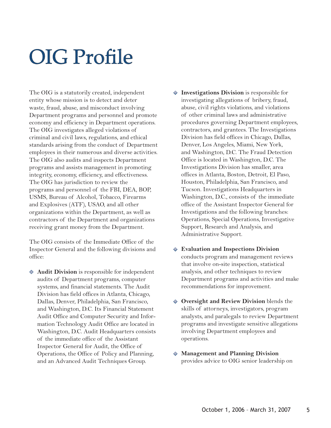## OIG Profile

The OIG is a statutorily created, independent entity whose mission is to detect and deter waste, fraud, abuse, and misconduct involving Department programs and personnel and promote economy and efficiency in Department operations. The OIG investigates alleged violations of criminal and civil laws, regulations, and ethical standards arising from the conduct of Department employees in their numerous and diverse activities. The OIG also audits and inspects Department programs and assists management in promoting integrity, economy, efficiency, and effectiveness. The OIG has jurisdiction to review the programs and personnel of the FBI, DEA, BOP, USMS, Bureau of Alcohol, Tobacco, Firearms and Explosives (ATF), USAO, and all other organizations within the Department, as well as contractors of the Department and organizations receiving grant money from the Department.

The OIG consists of the Immediate Office of the Inspector General and the following divisions and office:

- **Audit Division** is responsible for independent audits of Department programs, computer systems, and financial statements. The Audit Division has field offices in Atlanta, Chicago, Dallas, Denver, Philadelphia, San Francisco, and Washington, D.C. Its Financial Statement Audit Office and Computer Security and Information Technology Audit Office are located in Washington, D.C. Audit Headquarters consists of the immediate office of the Assistant Inspector General for Audit, the Office of Operations, the Office of Policy and Planning, and an Advanced Audit Techniques Group.
- **Investigations Division** is responsible for investigating allegations of bribery, fraud, abuse, civil rights violations, and violations of other criminal laws and administrative procedures governing Department employees, contractors, and grantees. The Investigations Division has field offices in Chicago, Dallas, Denver, Los Angeles, Miami, New York, and Washington, D.C. The Fraud Detection Office is located in Washington, D.C. The Investigations Division has smaller, area offices in Atlanta, Boston, Detroit, El Paso, Houston, Philadelphia, San Francisco, and Tucson. Investigations Headquarters in Washington, D.C., consists of the immediate office of the Assistant Inspector General for Investigations and the following branches: Operations, Special Operations, Investigative Support, Research and Analysis, and Administrative Support.
- **Evaluation and Inspections Division** conducts program and management reviews that involve on-site inspection, statistical analysis, and other techniques to review Department programs and activities and make recommendations for improvement.
- **Oversight and Review Division** blends the skills of attorneys, investigators, program analysts, and paralegals to review Department programs and investigate sensitive allegations involving Department employees and operations.
- **Management and Planning Division** provides advice to OIG senior leadership on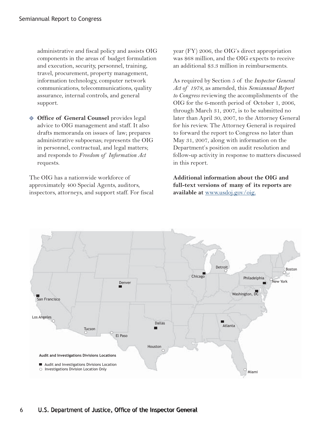administrative and fiscal policy and assists OIG components in the areas of budget formulation and execution, security, personnel, training, travel, procurement, property management, information technology, computer network communications, telecommunications, quality assurance, internal controls, and general support.

- **Office of General Counsel** provides legal advice to OIG management and staff. It also drafts memoranda on issues of law; prepares administrative subpoenas; represents the OIG in personnel, contractual, and legal matters; and responds to *Freedom of Information Act* requests.

The OIG has a nationwide workforce of approximately 400 Special Agents, auditors, inspectors, attorneys, and support staff. For fiscal year (FY) 2006, the OIG's direct appropriation was \$68 million, and the OIG expects to receive an additional \$3.3 million in reimbursements.

As required by Section 5 of the *Inspector General Act of 1978*, as amended, this *Semiannual Report to Congress* reviewing the accomplishments of the OIG for the 6-month period of October 1, 2006, through March 31, 2007, is to be submitted no later than April 30, 2007, to the Attorney General for his review. The Attorney General is required to forward the report to Congress no later than May 31, 2007, along with information on the Department's position on audit resolution and follow-up activity in response to matters discussed in this report.

**Additional information about the OIG and full-text versions of many of its reports are available at** www.usdoj.gov/oig.

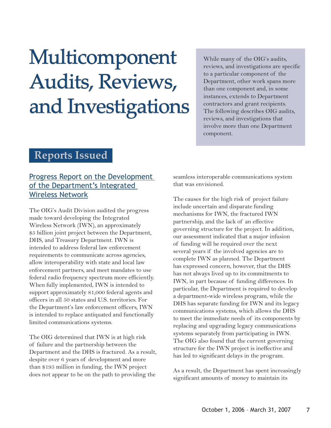## Multicomponent Audits, Reviews, and Investigations

While many of the OIG's audits, reviews, and investigations are specific to a particular component of the Department, other work spans more than one component and, in some instances, extends to Department contractors and grant recipients. The following describes OIG audits, reviews, and investigations that involve more than one Department component.

### **Reports Issued**

### [Progress Report on the Development](http://www.usdoj.gov/oig/reports/OBD/a0725/final.pdf)  of the Department's Integrated Wireless Network

The OIG's Audit Division audited the progress made toward developing the Integrated Wireless Network (IWN), an approximately \$5 billion joint project between the Department, DHS, and Treasury Department. IWN is intended to address federal law enforcement requirements to communicate across agencies, allow interoperability with state and local law enforcement partners, and meet mandates to use federal radio frequency spectrum more efficiently. When fully implemented, IWN is intended to support approximately 81,000 federal agents and officers in all 50 states and U.S. territories. For the Department's law enforcement officers, IWN is intended to replace antiquated and functionally limited communications systems.

The OIG determined that IWN is at high risk of failure and the partnership between the Department and the DHS is fractured. As a result, despite over 6 years of development and more than \$195 million in funding, the IWN project does not appear to be on the path to providing the

seamless interoperable communications system that was envisioned.

The causes for the high risk of project failure include uncertain and disparate funding mechanisms for IWN, the fractured IWN partnership, and the lack of an effective governing structure for the project. In addition, our assessment indicated that a major infusion of funding will be required over the next several years if the involved agencies are to complete IWN as planned. The Department has expressed concern, however, that the DHS has not always lived up to its commitments to IWN, in part because of funding differences. In particular, the Department is required to develop a department-wide wireless program, while the DHS has separate funding for IWN and its legacy communications systems, which allows the DHS to meet the immediate needs of its components by replacing and upgrading legacy communications systems separately from participating in IWN. The OIG also found that the current governing structure for the IWN project is ineffective and has led to significant delays in the program.

As a result, the Department has spent increasingly significant amounts of money to maintain its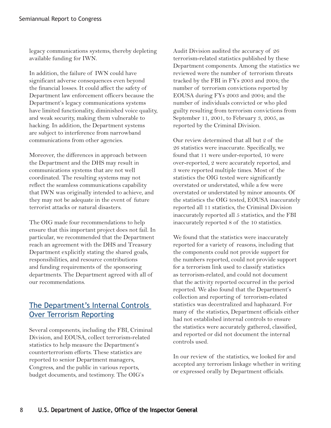legacy communications systems, thereby depleting available funding for IWN.

In addition, the failure of IWN could have significant adverse consequences even beyond the financial losses. It could affect the safety of Department law enforcement officers because the Department's legacy communications systems have limited functionality, diminished voice quality, and weak security, making them vulnerable to hacking. In addition, the Department systems are subject to interference from narrowband communications from other agencies.

Moreover, the differences in approach between the Department and the DHS may result in communications systems that are not well coordinated. The resulting systems may not reflect the seamless communications capability that IWN was originally intended to achieve, and they may not be adequate in the event of future terrorist attacks or natural disasters.

The OIG made four recommendations to help ensure that this important project does not fail. In particular, we recommended that the Department reach an agreement with the DHS and Treasury Department explicitly stating the shared goals, responsibilities, and resource contributions and funding requirements of the sponsoring departments. The Department agreed with all of our recommendations.

### [The Department's Internal Controls](http://www.usdoj.gov/oig/reports/plus/a0720/final.pdf)  Over Terrorism Reporting

Several components, including the FBI, Criminal Division, and EOUSA, collect terrorism-related statistics to help measure the Department's counterterrorism efforts. These statistics are reported to senior Department managers, Congress, and the public in various reports, budget documents, and testimony. The OIG's

Audit Division audited the accuracy of 26 terrorism-related statistics published by these Department components. Among the statistics we reviewed were the number of terrorism threats tracked by the FBI in FYs 2003 and 2004; the number of terrorism convictions reported by EOUSA during FYs 2003 and 2004; and the number of individuals convicted or who pled guilty resulting from terrorism convictions from September 11, 2001, to February 3, 2005, as reported by the Criminal Division.

Our review determined that all but 2 of the 26 statistics were inaccurate. Specifically, we found that 11 were under-reported, 10 were over-reported, 2 were accurately reported, and 3 were reported multiple times. Most of the statistics the OIG tested were significantly overstated or understated, while a few were overstated or understated by minor amounts. Of the statistics the OIG tested, EOUSA inaccurately reported all 11 statistics, the Criminal Division inaccurately reported all 5 statistics, and the FBI inaccurately reported 8 of the 10 statistics.

We found that the statistics were inaccurately reported for a variety of reasons, including that the components could not provide support for the numbers reported, could not provide support for a terrorism link used to classify statistics as terrorism-related, and could not document that the activity reported occurred in the period reported. We also found that the Department's collection and reporting of terrorism-related statistics was decentralized and haphazard. For many of the statistics, Department officials either had not established internal controls to ensure the statistics were accurately gathered, classified, and reported or did not document the internal controls used.

In our review of the statistics, we looked for and accepted any terrorism linkage whether in writing or expressed orally by Department officials.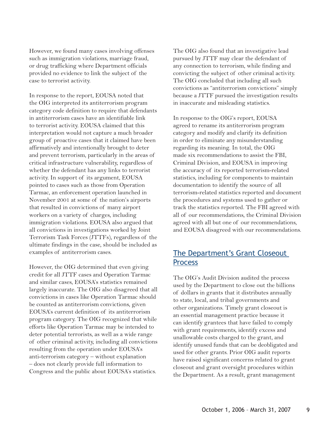However, we found many cases involving offenses such as immigration violations, marriage fraud, or drug trafficking where Department officials provided no evidence to link the subject of the case to terrorist activity.

In response to the report, EOUSA noted that the OIG interpreted its antiterrorism program category code definition to require that defendants in antiterrorism cases have an identifiable link to terrorist activity. EOUSA claimed that this interpretation would not capture a much broader group of proactive cases that it claimed have been affirmatively and intentionally brought to deter and prevent terrorism, particularly in the areas of critical infrastructure vulnerability, regardless of whether the defendant has any links to terrorist activity. In support of its argument, EOUSA pointed to cases such as those from Operation Tarmac, an enforcement operation launched in November 2001 at some of the nation's airports that resulted in convictions of many airport workers on a variety of charges, including immigration violations. EOUSA also argued that all convictions in investigations worked by Joint Terrorism Task Forces (JTTFs), regardless of the ultimate findings in the case, should be included as examples of antiterrorism cases.

However, the OIG determined that even giving credit for all JTTF cases and Operation Tarmac and similar cases, EOUSA's statistics remained largely inaccurate. The OIG also disagreed that all convictions in cases like Operation Tarmac should be counted as antiterrorism convictions, given EOUSA's current definition of its antiterrorism program category. The OIG recognized that while efforts like Operation Tarmac may be intended to deter potential terrorists, as well as a wide range of other criminal activity, including all convictions resulting from the operation under EOUSA's anti-terrorism category – without explanation – does not clearly provide full information to Congress and the public about EOUSA's statistics.

The OIG also found that an investigative lead pursued by JTTF may clear the defendant of any connection to terrorism, while finding and convicting the subject of other criminal activity. The OIG concluded that including all such convictions as "antiterrorism convictions" simply because a JTTF pursued the investigation results in inaccurate and misleading statistics.

In response to the OIG's report, EOUSA agreed to rename its antiterrorism program category and modify and clarify its definition in order to eliminate any misunderstanding regarding its meaning. In total, the OIG made six recommendations to assist the FBI, Criminal Division, and EOUSA in improving the accuracy of its reported terrorism-related statistics, including for components to maintain documentation to identify the source of all terrorism-related statistics reported and document the procedures and systems used to gather or track the statistics reported. The FBI agreed with all of our recommendations, the Criminal Division agreed with all but one of our recommendations, and EOUSA disagreed with our recommendations.

#### [The Department's Grant Closeout](http://www.usdoj.gov/oig/reports/plus/a0705/final.pdf)  **Process**

The OIG's Audit Division audited the process used by the Department to close out the billions of dollars in grants that it distributes annually to state, local, and tribal governments and other organizations. Timely grant closeout is an essential management practice because it can identify grantees that have failed to comply with grant requirements, identify excess and unallowable costs charged to the grant, and identify unused funds that can be deobligated and used for other grants. Prior OIG audit reports have raised significant concerns related to grant closeout and grant oversight procedures within the Department. As a result, grant management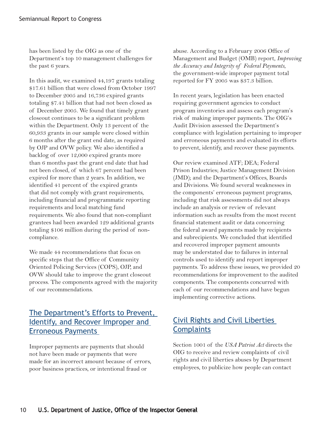has been listed by the OIG as one of the Department's top 10 management challenges for the past 6 years.

In this audit, we examined 44,197 grants totaling \$17.61 billion that were closed from October 1997 to December 2005 and 16,736 expired grants totaling \$7.41 billion that had not been closed as of December 2005. We found that timely grant closeout continues to be a significant problem within the Department. Only 13 percent of the 60,933 grants in our sample were closed within 6 months after the grant end date, as required by OJP and OVW policy. We also identified a backlog of over 12,000 expired grants more than 6 months past the grant end date that had not been closed, of which 67 percent had been expired for more than 2 years. In addition, we identified 41 percent of the expired grants that did not comply with grant requirements, including financial and programmatic reporting requirements and local matching fund requirements. We also found that non-compliant grantees had been awarded 129 additional grants totaling \$106 million during the period of noncompliance.

We made 44 recommendations that focus on specific steps that the Office of Community Oriented Policing Services (COPS), OJP, and OVW should take to improve the grant closeout process. The components agreed with the majority of our recommendations.

### [The Department's Efforts to Prevent,](http://www.usdoj.gov/oig/reports/plus/a0717/final.pdf) Identify, and Recover Improper and Erroneous Payments

Improper payments are payments that should not have been made or payments that were made for an incorrect amount because of errors, poor business practices, or intentional fraud or

abuse. According to a February 2006 Office of Management and Budget (OMB) report, *Improving the Accuracy and Integrity of Federal Payments*, the government-wide improper payment total reported for FY 2005 was \$37.3 billion.

In recent years, legislation has been enacted requiring government agencies to conduct program inventories and assess each program's risk of making improper payments. The OIG's Audit Division assessed the Department's compliance with legislation pertaining to improper and erroneous payments and evaluated its efforts to prevent, identify, and recover these payments.

Our review examined ATF; DEA; Federal Prison Industries; Justice Management Division (JMD); and the Department's Offices, Boards and Divisions. We found several weaknesses in the components' erroneous payment programs, including that risk assessments did not always include an analysis or review of relevant information such as results from the most recent financial statement audit or data concerning the federal award payments made by recipients and subrecipients. We concluded that identified and recovered improper payment amounts may be understated due to failures in internal controls used to identify and report improper payments. To address these issues, we provided 20 recommendations for improvement to the audited components. The components concurred with each of our recommendations and have begun implementing corrective actions.

### [Civil Rights and Civil Liberties](http://www.usdoj.gov/oig/special/s0703/final.pdf)  **Complaints**

Section 1001 of the *USA Patriot Act* directs the OIG to receive and review complaints of civil rights and civil liberties abuses by Department employees, to publicize how people can contact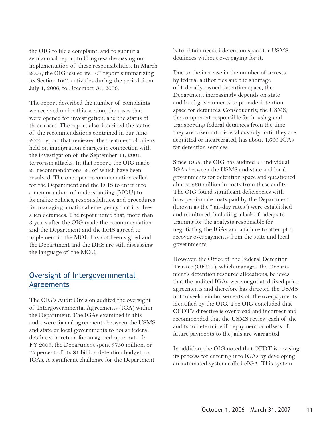the OIG to file a complaint, and to submit a semiannual report to Congress discussing our implementation of these responsibilities. In March 2007, the OIG issued its  $10^{th}$  report summarizing its Section 1001 activities during the period from July 1, 2006, to December 31, 2006.

The report described the number of complaints we received under this section, the cases that were opened for investigation, and the status of these cases. The report also described the status of the recommendations contained in our June 2003 report that reviewed the treatment of aliens held on immigration charges in connection with the investigation of the September 11, 2001, terrorism attacks. In that report, the OIG made 21 recommendations, 20 of which have been resolved. The one open recommendation called for the Department and the DHS to enter into a memorandum of understanding (MOU) to formalize policies, responsibilities, and procedures for managing a national emergency that involves alien detainees. The report noted that, more than 3 years after the OIG made the recommendation and the Department and the DHS agreed to implement it, the MOU has not been signed and the Department and the DHS are still discussing the language of the MOU.

#### [Oversight of Intergovernmental](http://www.usdoj.gov/oig/reports/USMS/a0726/final.pdf)  Agreements

The OIG's Audit Division audited the oversight of Intergovernmental Agreements (IGA) within the Department. The IGAs examined in this audit were formal agreements between the USMS and state or local governments to house federal detainees in return for an agreed-upon rate. In FY 2005, the Department spent \$750 million, or 75 percent of its \$1 billion detention budget, on IGAs. A significant challenge for the Department

is to obtain needed detention space for USMS detainees without overpaying for it.

Due to the increase in the number of arrests by federal authorities and the shortage of federally owned detention space, the Department increasingly depends on state and local governments to provide detention space for detainees. Consequently, the USMS, the component responsible for housing and transporting federal detainees from the time they are taken into federal custody until they are acquitted or incarcerated, has about 1,600 IGAs for detention services.

Since 1995, the OIG has audited 31 individual IGAs between the USMS and state and local governments for detention space and questioned almost \$60 million in costs from these audits. The OIG found significant deficiencies with how per-inmate costs paid by the Department (known as the "jail-day rates") were established and monitored, including a lack of adequate training for the analysts responsible for negotiating the IGAs and a failure to attempt to recover overpayments from the state and local governments.

However, the Office of the Federal Detention Trustee (OFDT), which manages the Department's detention resource allocations, believes that the audited IGAs were negotiated fixed price agreements and therefore has directed the USMS not to seek reimbursements of the overpayments identified by the OIG. The OIG concluded that OFDT's directive is overbroad and incorrect and recommended that the USMS review each of the audits to determine if repayment or offsets of future payments to the jails are warranted.

In addition, the OIG noted that OFDT is revising its process for entering into IGAs by developing an automated system called eIGA. This system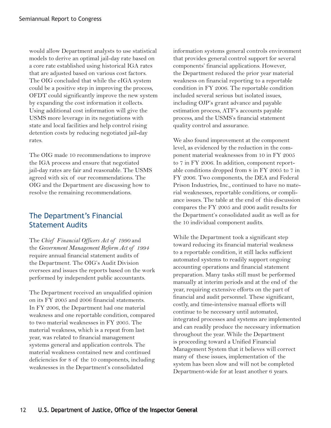would allow Department analysts to use statistical models to derive an optimal jail-day rate based on a core rate established using historical IGA rates that are adjusted based on various cost factors. The OIG concluded that while the eIGA system could be a positive step in improving the process, OFDT could significantly improve the new system by expanding the cost information it collects. Using additional cost information will give the USMS more leverage in its negotiations with state and local facilities and help control rising detention costs by reducing negotiated jail-day rates.

The OIG made 10 recommendations to improve the IGA process and ensure that negotiated jail-day rates are fair and reasonable. The USMS agreed with six of our recommendations. The OIG and the Department are discussing how to resolve the remaining recommendations.

### The Department's Financial Statement Audits

The *Chief Financial Officers Act of 1990* and the *Government Management Reform Act of 1994* require annual financial statement audits of the Department. The OIG's Audit Division oversees and issues the reports based on the work performed by independent public accountants.

The Department received an unqualified opinion on its FY 2005 and 2006 financial statements. In FY 2006, the Department had one material weakness and one reportable condition, compared to two material weaknesses in FY 2005. The material weakness, which is a repeat from last year, was related to financial management systems general and application controls. The material weakness contained new and continued deficiencies for 8 of the 10 components, including weaknesses in the Department's consolidated

information systems general controls environment that provides general control support for several components' financial applications. However, the Department reduced the prior year material weakness on financial reporting to a reportable condition in FY 2006. The reportable condition included several serious but isolated issues, including OJP's grant advance and payable estimation process, ATF's accounts payable process, and the USMS's financial statement quality control and assurance.

We also found improvement at the component level, as evidenced by the reduction in the component material weaknesses from 10 in FY 2005 to 7 in FY 2006. In addition, component reportable conditions dropped from 8 in FY 2005 to 7 in FY 2006. Two components, the DEA and Federal Prison Industries, Inc., continued to have no material weaknesses, reportable conditions, or compliance issues. The table at the end of this discussion compares the FY 2005 and 2006 audit results for the Department's consolidated audit as well as for the 10 individual component audits.

While the Department took a significant step toward reducing its financial material weakness to a reportable condition, it still lacks sufficient automated systems to readily support ongoing accounting operations and financial statement preparation. Many tasks still must be performed manually at interim periods and at the end of the year, requiring extensive efforts on the part of financial and audit personnel. These significant, costly, and time-intensive manual efforts will continue to be necessary until automated, integrated processes and systems are implemented and can readily produce the necessary information throughout the year. While the Department is proceeding toward a Unified Financial Management System that it believes will correct many of these issues, implementation of the system has been slow and will not be completed Department-wide for at least another 6 years.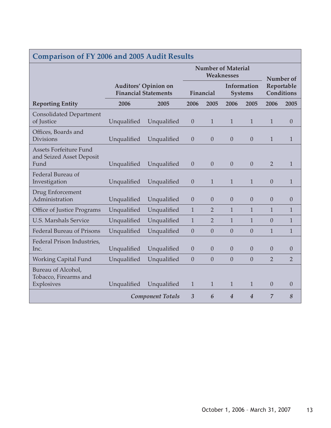| <b>Comparison of FY 2006 and 2005 Audit Results</b>               |                                                            |                         |                                         |                |                               |                |                                 |                  |
|-------------------------------------------------------------------|------------------------------------------------------------|-------------------------|-----------------------------------------|----------------|-------------------------------|----------------|---------------------------------|------------------|
|                                                                   |                                                            |                         | <b>Number of Material</b><br>Weaknesses |                |                               | Number of      |                                 |                  |
|                                                                   | <b>Auditors' Opinion on</b><br><b>Financial Statements</b> |                         | Financial                               |                | Information<br><b>Systems</b> |                | Reportable<br><b>Conditions</b> |                  |
| <b>Reporting Entity</b>                                           | 2006                                                       | 2005                    | 2006                                    | 2005           | 2006                          | 2005           | 2006                            | 2005             |
| <b>Consolidated Department</b><br>of Justice                      | Unqualified                                                | Unqualified             | $\theta$                                | $\mathbf{1}$   | $\mathbf{1}$                  | $\mathbf{1}$   | $\mathbf{1}$                    | $\boldsymbol{0}$ |
| Offices, Boards and<br><b>Divisions</b>                           | Unqualified                                                | Unqualified             | $\theta$                                | $\overline{0}$ | $\theta$                      | $\overline{0}$ | $\mathbf{1}$                    | $\mathbf{1}$     |
| <b>Assets Forfeiture Fund</b><br>and Seized Asset Deposit<br>Fund | Unqualified                                                | Unqualified             | $\theta$                                | $\theta$       | $\theta$                      | $\overline{0}$ | $\overline{2}$                  | $\mathbf{1}$     |
| Federal Bureau of<br>Investigation                                | Unqualified                                                | Unqualified             | $\theta$                                | $\mathbf{1}$   | $\mathbf{1}$                  | $\mathbf{1}$   | $\overline{0}$                  | $\mathbf{1}$     |
| Drug Enforcement<br>Administration                                | Unqualified                                                | Unqualified             | $\theta$                                | $\theta$       | $\overline{0}$                | $\overline{0}$ | $\theta$                        | $\boldsymbol{0}$ |
| Office of Justice Programs                                        | Unqualified                                                | Unqualified             | 1                                       | $\overline{2}$ | $\mathbf{1}$                  | $\mathbf{1}$   | $\mathbf{1}$                    | 1                |
| <b>U.S. Marshals Service</b>                                      | Unqualified                                                | Unqualified             | $\mathbf{1}$                            | $\overline{2}$ | $\mathbf{1}$                  | $\mathbf{1}$   | $\theta$                        | $\mathbf 1$      |
| <b>Federal Bureau of Prisons</b>                                  | Unqualified                                                | Unqualified             | $\boldsymbol{0}$                        | $\overline{0}$ | $\overline{0}$                | $\overline{0}$ | $\mathbf{1}$                    | $\mathbf{1}$     |
| Federal Prison Industries,<br>Inc.                                | Unqualified                                                | Unqualified             | $\overline{0}$                          | $\theta$       | $\overline{0}$                | $\overline{0}$ | $\theta$                        | $\theta$         |
| <b>Working Capital Fund</b>                                       | Unqualified                                                | Unqualified             | $\overline{0}$                          | $\overline{0}$ | $\theta$                      | $\overline{0}$ | $\overline{2}$                  | $\overline{2}$   |
| Bureau of Alcohol,<br>Tobacco, Firearms and<br>Explosives         | Unqualified                                                | Unqualified             | $\mathbf{1}$                            | $\mathbf{1}$   | $\mathbf{1}$                  | $\mathbf{1}$   | $\overline{0}$                  | $\overline{0}$   |
|                                                                   |                                                            | <b>Component Totals</b> | $\overline{3}$                          | 6              | $\overline{4}$                | $\overline{4}$ | $\overline{7}$                  | 8                |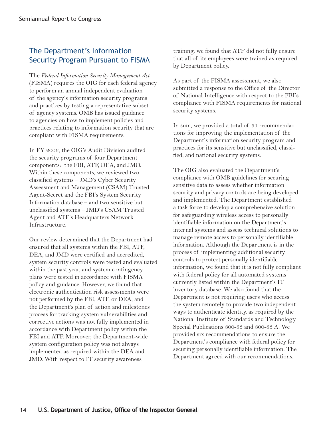### The Department's Information Security Program Pursuant to FISMA

The *Federal Information Security Management Act* (FISMA) requires the OIG for each federal agency to perform an annual independent evaluation of the agency's information security programs and practices by testing a representative subset of agency systems. OMB has issued guidance to agencies on how to implement policies and practices relating to information security that are compliant with FISMA requirements.

In FY 2006, the OIG's Audit Division audited the security programs of four Department components: the FBI, ATF, DEA, and JMD. Within these components, we reviewed two classified systems – JMD's Cyber Security Assessment and Management (CSAM) Trusted Agent-Secret and the FBI's System Security Information database – and two sensitive but unclassified systems – JMD's CSAM Trusted Agent and ATF's Headquarters Network Infrastructure.

Our review determined that the Department had ensured that all systems within the FBI, ATF, DEA, and JMD were certified and accredited, system security controls were tested and evaluated within the past year, and system contingency plans were tested in accordance with FISMA policy and guidance. However, we found that electronic authentication risk assessments were not performed by the FBI, ATF, or DEA, and the Department's plan of action and milestones process for tracking system vulnerabilities and corrective actions was not fully implemented in accordance with Department policy within the FBI and ATF. Moreover, the Department-wide system configuration policy was not always implemented as required within the DEA and JMD. With respect to IT security awareness

training, we found that ATF did not fully ensure that all of its employees were trained as required by Department policy.

As part of the FISMA assessment, we also submitted a response to the Office of the Director of National Intelligence with respect to the FBI's compliance with FISMA requirements for national security systems.

In sum, we provided a total of 31 recommendations for improving the implementation of the Department's information security program and practices for its sensitive but unclassified, classified, and national security systems.

The OIG also evaluated the Department's compliance with OMB guidelines for securing sensitive data to assess whether information security and privacy controls are being developed and implemented. The Department established a task force to develop a comprehensive solution for safeguarding wireless access to personally identifiable information on the Department's internal systems and assess technical solutions to manage remote access to personally identifiable information. Although the Department is in the process of implementing additional security controls to protect personally identifiable information, we found that it is not fully compliant with federal policy for all automated systems currently listed within the Department's IT inventory database. We also found that the Department is not requiring users who access the system remotely to provide two independent ways to authenticate identity, as required by the National Institute of Standards and Technology Special Publications 800-53 and 800-53 A. We provided six recommendations to ensure the Department's compliance with federal policy for securing personally identifiable information. The Department agreed with our recommendations.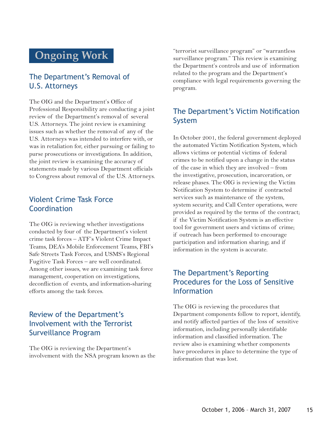## **Ongoing Work**

### The Department's Removal of U.S. Attorneys

The OIG and the Department's Office of Professional Responsibility are conducting a joint review of the Department's removal of several U.S. Attorneys. The joint review is examining issues such as whether the removal of any of the U.S. Attorneys was intended to interfere with, or was in retaliation for, either pursuing or failing to purse prosecutions or investigations. In addition, the joint review is examining the accuracy of statements made by various Department officials to Congress about removal of the U.S. Attorneys.

#### Violent Crime Task Force Coordination

The OIG is reviewing whether investigations conducted by four of the Department's violent crime task forces – ATF's Violent Crime Impact Teams, DEA's Mobile Enforcement Teams, FBI's Safe Streets Task Forces, and USMS's Regional Fugitive Task Forces – are well coordinated. Among other issues, we are examining task force management, cooperation on investigations, deconfliction of events, and information-sharing efforts among the task forces.

### Review of the Department's Involvement with the Terrorist Surveillance Program

The OIG is reviewing the Department's involvement with the NSA program known as the "terrorist surveillance program" or "warrantless surveillance program." This review is examining the Department's controls and use of information related to the program and the Department's compliance with legal requirements governing the program.

### The Department's Victim Notification System

In October 2001, the federal government deployed the automated Victim Notification System, which allows victims or potential victims of federal crimes to be notified upon a change in the status of the case in which they are involved – from the investigative, prosecution, incarceration, or release phases. The OIG is reviewing the Victim Notification System to determine if contracted services such as maintenance of the system, system security, and Call Center operations, were provided as required by the terms of the contract; if the Victim Notification System is an effective tool for government users and victims of crime; if outreach has been performed to encourage participation and information sharing; and if information in the system is accurate.

### The Department's Reporting Procedures for the Loss of Sensitive Information

The OIG is reviewing the procedures that Department components follow to report, identify, and notify affected parties of the loss of sensitive information, including personally identifiable information and classified information. The review also is examining whether components have procedures in place to determine the type of information that was lost.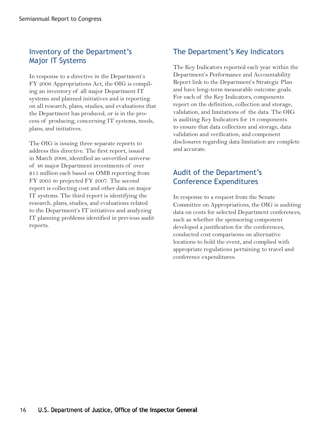### Inventory of the Department's Major IT Systems

In response to a directive in the Department's FY 2006 Appropriations Act, the OIG is compiling an inventory of all major Department IT systems and planned initiatives and is reporting on all research, plans, studies, and evaluations that the Department has produced, or is in the process of producing, concerning IT systems, needs, plans, and initiatives.

The OIG is issuing three separate reports to address this directive. The first report, issued in March 2006, identified an unverified universe of 46 major Department investments of over \$15 million each based on OMB reporting from FY 2005 to projected FY 2007. The second report is collecting cost and other data on major IT systems. The third report is identifying the research, plans, studies, and evaluations related to the Department's IT initiatives and analyzing IT planning problems identified in previous audit reports.

### The Department's Key Indicators

The Key Indicators reported each year within the Department's Performance and Accountability Report link to the Department's Strategic Plan and have long-term measurable outcome goals. For each of the Key Indicators, components report on the definition, collection and storage, validation, and limitations of the data. The OIG is auditing Key Indicators for 18 components to ensure that data collection and storage, data validation and verification, and component disclosures regarding data limitation are complete and accurate.

### Audit of the Department's Conference Expenditures

In response to a request from the Senate Committee on Appropriations, the OIG is auditing data on costs for selected Department conferences, such as whether the sponsoring component developed a justification for the conferences, conducted cost comparisons on alternative locations to hold the event, and complied with appropriate regulations pertaining to travel and conference expenditures.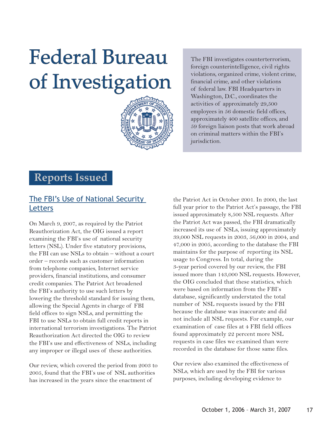## Federal Bureau of Investigation



The FBI investigates counterterrorism, foreign counterintelligence, civil rights violations, organized crime, violent crime, financial crime, and other violations of federal law. FBI Headquarters in Washington, D.C., coordinates the activities of approximately 29,500 employees in 56 domestic field offices, approximately 400 satellite offices, and 59 foreign liaison posts that work abroad on criminal matters within the FBI's jurisdiction.

### **Reports Issued**

### [The FBI's Use of National Security](http://www.usdoj.gov/oig/special/s0703b/final.pdf)  **Letters**

On March 9, 2007, as required by the Patriot Reauthorization Act, the OIG issued a report examining the FBI's use of national security letters (NSL). Under five statutory provisions, the FBI can use NSLs to obtain – without a court order – records such as customer information from telephone companies, Internet service providers, financial institutions, and consumer credit companies. The Patriot Act broadened the FBI's authority to use such letters by lowering the threshold standard for issuing them, allowing the Special Agents in charge of FBI field offices to sign NSLs, and permitting the FBI to use NSLs to obtain full credit reports in international terrorism investigations. The Patriot Reauthorization Act directed the OIG to review the FBI's use and effectiveness of NSLs, including any improper or illegal uses of these authorities.

Our review, which covered the period from 2003 to 2005, found that the FBI's use of NSL authorities has increased in the years since the enactment of

the Patriot Act in October 2001. In 2000, the last full year prior to the Patriot Act's passage, the FBI issued approximately 8,500 NSL requests. After the Patriot Act was passed, the FBI dramatically increased its use of NSLs, issuing approximately 39,000 NSL requests in 2003, 56,000 in 2004, and 47,000 in 2005, according to the database the FBI maintains for the purpose of reporting its NSL usage to Congress. In total, during the 3-year period covered by our review, the FBI issued more than 143,000 NSL requests. However, the OIG concluded that these statistics, which were based on information from the FBI's database, significantly understated the total number of NSL requests issued by the FBI because the database was inaccurate and did not include all NSL requests. For example, our examination of case files at 4 FBI field offices found approximately 22 percent more NSL requests in case files we examined than were recorded in the database for those same files.

Our review also examined the effectiveness of NSLs, which are used by the FBI for various purposes, including developing evidence to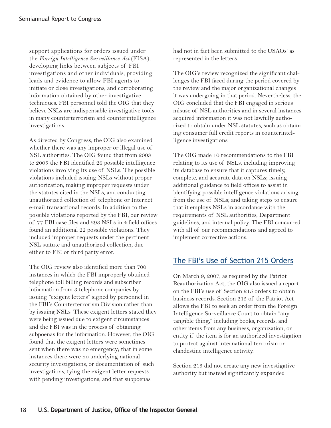support applications for orders issued under the *Foreign Intelligence Surveillance Act* (FISA), developing links between subjects of FBI investigations and other individuals, providing leads and evidence to allow FBI agents to initiate or close investigations, and corroborating information obtained by other investigative techniques. FBI personnel told the OIG that they believe NSLs are indispensable investigative tools in many counterterrorism and counterintelligence investigations.

As directed by Congress, the OIG also examined whether there was any improper or illegal use of NSL authorities. The OIG found that from 2003 to 2005 the FBI identified 26 possible intelligence violations involving its use of NSLs. The possible violations included issuing NSLs without proper authorization, making improper requests under the statutes cited in the NSLs, and conducting unauthorized collection of telephone or Internet e-mail transactional records. In addition to the possible violations reported by the FBI, our review of 77 FBI case files and 293 NSLs in 4 field offices found an additional 22 possible violations. They included improper requests under the pertinent NSL statute and unauthorized collection, due either to FBI or third party error.

The OIG review also identified more than 700 instances in which the FBI improperly obtained telephone toll billing records and subscriber information from 3 telephone companies by issuing "exigent letters" signed by personnel in the FBI's Counterterrorism Division rather than by issuing NSLs. These exigent letters stated they were being issued due to exigent circumstances and the FBI was in the process of obtaining subpoenas for the information. However, the OIG found that the exigent letters were sometimes sent when there was no emergency; that in some instances there were no underlying national security investigations, or documentation of such investigations, tying the exigent letter requests with pending investigations; and that subpoenas

had not in fact been submitted to the USAOs' as represented in the letters.

The OIG's review recognized the significant challenges the FBI faced during the period covered by the review and the major organizational changes it was undergoing in that period. Nevertheless, the OIG concluded that the FBI engaged in serious misuse of NSL authorities and in several instances acquired information it was not lawfully authorized to obtain under NSL statutes, such as obtaining consumer full credit reports in counterintelligence investigations.

The OIG made 10 recommendations to the FBI relating to its use of NSLs, including improving its database to ensure that it captures timely, complete, and accurate data on NSLs; issuing additional guidance to field offices to assist in identifying possible intelligence violations arising from the use of NSLs; and taking steps to ensure that it employs NSLs in accordance with the requirements of NSL authorities, Department guidelines, and internal policy. The FBI concurred with all of our recommendations and agreed to implement corrective actions.

### [The FBI's Use of Section 215 Orders](http://www.usdoj.gov/oig/special/s0703a/final.pdf)

On March 9, 2007, as required by the Patriot Reauthorization Act, the OIG also issued a report on the FBI's use of Section 215 orders to obtain business records. Section 215 of the Patriot Act allows the FBI to seek an order from the Foreign Intelligence Surveillance Court to obtain "any tangible thing," including books, records, and other items from any business, organization, or entity if the item is for an authorized investigation to protect against international terrorism or clandestine intelligence activity.

Section 215 did not create any new investigative authority but instead significantly expanded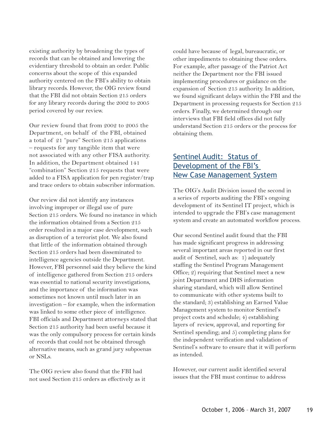existing authority by broadening the types of records that can be obtained and lowering the evidentiary threshold to obtain an order. Public concerns about the scope of this expanded authority centered on the FBI's ability to obtain library records. However, the OIG review found that the FBI did not obtain Section 215 orders for any library records during the 2002 to 2005 period covered by our review.

Our review found that from 2002 to 2005 the Department, on behalf of the FBI, obtained a total of 21 "pure" Section 215 applications – requests for any tangible item that were not associated with any other FISA authority. In addition, the Department obtained 141 "combination" Section 215 requests that were added to a FISA application for pen register/trap and trace orders to obtain subscriber information.

Our review did not identify any instances involving improper or illegal use of pure Section 215 orders. We found no instance in which the information obtained from a Section 215 order resulted in a major case development, such as disruption of a terrorist plot. We also found that little of the information obtained through Section 215 orders had been disseminated to intelligence agencies outside the Department. However, FBI personnel said they believe the kind of intelligence gathered from Section 215 orders was essential to national security investigations, and the importance of the information was sometimes not known until much later in an investigation – for example, when the information was linked to some other piece of intelligence. FBI officials and Department attorneys stated that Section 215 authority had been useful because it was the only compulsory process for certain kinds of records that could not be obtained through alternative means, such as grand jury subpoenas or NSLs.

The OIG review also found that the FBI had not used Section 215 orders as effectively as it could have because of legal, bureaucratic, or other impediments to obtaining these orders. For example, after passage of the Patriot Act neither the Department nor the FBI issued implementing procedures or guidance on the expansion of Section 215 authority. In addition, we found significant delays within the FBI and the Department in processing requests for Section 215 orders. Finally, we determined through our interviews that FBI field offices did not fully understand Section 215 orders or the process for obtaining them.

#### Sentinel Audit: Status of Development of the FBI's [New Case Management System](http://www.usdoj.gov/oig/reports/FBI/a0703/final.pdf)

The OIG's Audit Division issued the second in a series of reports auditing the FBI's ongoing development of its Sentinel IT project, which is intended to upgrade the FBI's case management system and create an automated workflow process.

Our second Sentinel audit found that the FBI has made significant progress in addressing several important areas reported in our first audit of Sentinel, such as: 1) adequately staffing the Sentinel Program Management Office; 2) requiring that Sentinel meet a new joint Department and DHS information sharing standard, which will allow Sentinel to communicate with other systems built to the standard; 3) establishing an Earned Value Management system to monitor Sentinel's project costs and schedule; 4) establishing layers of review, approval, and reporting for Sentinel spending; and 5) completing plans for the independent verification and validation of Sentinel's software to ensure that it will perform as intended.

However, our current audit identified several issues that the FBI must continue to address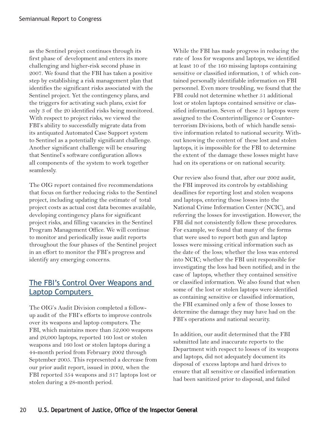as the Sentinel project continues through its first phase of development and enters its more challenging and higher-risk second phase in 2007. We found that the FBI has taken a positive step by establishing a risk management plan that identifies the significant risks associated with the Sentinel project. Yet the contingency plans, and the triggers for activating such plans, exist for only 3 of the 20 identified risks being monitored. With respect to project risks, we viewed the FBI's ability to successfully migrate data from its antiquated Automated Case Support system to Sentinel as a potentially significant challenge. Another significant challenge will be ensuring that Sentinel's software configuration allows all components of the system to work together seamlessly.

The OIG report contained five recommendations that focus on further reducing risks to the Sentinel project, including updating the estimate of total project costs as actual cost data becomes available, developing contingency plans for significant project risks, and filling vacancies in the Sentinel Program Management Office. We will continue to monitor and periodically issue audit reports throughout the four phases of the Sentinel project in an effort to monitor the FBI's progress and identify any emerging concerns.

### [The FBI's Control Over Weapons and](http://www.usdoj.gov/oig/reports/FBI/a0718/final.pdf)  Laptop Computers

The OIG's Audit Division completed a followup audit of the FBI's efforts to improve controls over its weapons and laptop computers. The FBI, which maintains more than 52,000 weapons and 26,000 laptops, reported 160 lost or stolen weapons and 160 lost or stolen laptops during a 44-month period from February 2002 through September 2005. This represented a decrease from our prior audit report, issued in 2002, when the FBI reported 354 weapons and 317 laptops lost or stolen during a 28-month period.

While the FBI has made progress in reducing the rate of loss for weapons and laptops, we identified at least 10 of the 160 missing laptops containing sensitive or classified information, 1 of which contained personally identifiable information on FBI personnel. Even more troubling, we found that the FBI could not determine whether 51 additional lost or stolen laptops contained sensitive or classified information. Seven of these 51 laptops were assigned to the Counterintelligence or Counterterrorism Divisions, both of which handle sensitive information related to national security. Without knowing the content of these lost and stolen laptops, it is impossible for the FBI to determine the extent of the damage these losses might have had on its operations or on national security.

Our review also found that, after our 2002 audit, the FBI improved its controls by establishing deadlines for reporting lost and stolen weapons and laptops, entering those losses into the National Crime Information Center (NCIC), and referring the losses for investigation. However, the FBI did not consistently follow these procedures. For example, we found that many of the forms that were used to report both gun and laptop losses were missing critical information such as the date of the loss; whether the loss was entered into NCIC; whether the FBI unit responsible for investigating the loss had been notified; and in the case of laptops, whether they contained sensitive or classified information. We also found that when some of the lost or stolen laptops were identified as containing sensitive or classified information, the FBI examined only a few of those losses to determine the damage they may have had on the FBI's operations and national security.

In addition, our audit determined that the FBI submitted late and inaccurate reports to the Department with respect to losses of its weapons and laptops, did not adequately document its disposal of excess laptops and hard drives to ensure that all sensitive or classified information had been sanitized prior to disposal, and failed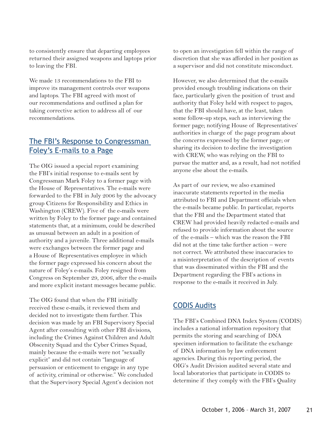to consistently ensure that departing employees returned their assigned weapons and laptops prior to leaving the FBI.

We made 13 recommendations to the FBI to improve its management controls over weapons and laptops. The FBI agreed with most of our recommendations and outlined a plan for taking corrective action to address all of our recommendations.

#### [The FBI's Response to Congressman](http://www.usdoj.gov/oig/special/s0701/final.pdf) Foley's E-mails to a Page

The OIG issued a special report examining the FBI's initial response to e-mails sent by Congressman Mark Foley to a former page with the House of Representatives. The e-mails were forwarded to the FBI in July 2006 by the advocacy group Citizens for Responsibility and Ethics in Washington (CREW). Five of the e-mails were written by Foley to the former page and contained statements that, at a minimum, could be described as unusual between an adult in a position of authority and a juvenile. Three additional e-mails were exchanges between the former page and a House of Representatives employee in which the former page expressed his concern about the nature of Foley's e-mails. Foley resigned from Congress on September 29, 2006, after the e-mails and more explicit instant messages became public.

The OIG found that when the FBI initially received these e-mails, it reviewed them and decided not to investigate them further. This decision was made by an FBI Supervisory Special Agent after consulting with other FBI divisions, including the Crimes Against Children and Adult Obscenity Squad and the Cyber Crimes Squad, mainly because the e-mails were not "sexually explicit" and did not contain "language of persuasion or enticement to engage in any type of activity, criminal or otherwise." We concluded that the Supervisory Special Agent's decision not to open an investigation fell within the range of discretion that she was afforded in her position as a supervisor and did not constitute misconduct.

However, we also determined that the e-mails provided enough troubling indications on their face, particularly given the position of trust and authority that Foley held with respect to pages, that the FBI should have, at the least, taken some follow-up steps, such as interviewing the former page; notifying House of Representatives' authorities in charge of the page program about the concerns expressed by the former page; or sharing its decision to decline the investigation with CREW, who was relying on the FBI to pursue the matter and, as a result, had not notified anyone else about the e-mails.

As part of our review, we also examined inaccurate statements reported in the media attributed to FBI and Department officials when the e-mails became public. In particular, reports that the FBI and the Department stated that CREW had provided heavily redacted e-mails and refused to provide information about the source of the e-mails – which was the reason the FBI did not at the time take further action – were not correct. We attributed these inaccuracies to a misinterpretation of the description of events that was disseminated within the FBI and the Department regarding the FBI's actions in response to the e-mails it received in July.

### [CODIS Audits](http://www.usdoj.gov/oig/grants/_codis.htm)

The FBI's Combined DNA Index System (CODIS) includes a national information repository that permits the storing and searching of DNA specimen information to facilitate the exchange of DNA information by law enforcement agencies. During this reporting period, the OIG's Audit Division audited several state and local laboratories that participate in CODIS to determine if they comply with the FBI's Quality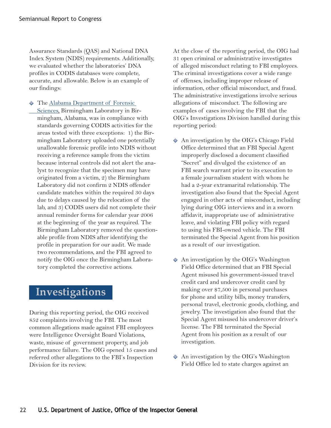Assurance Standards (QAS) and National DNA Index System (NDIS) requirements. Additionally, we evaluated whether the laboratories' DNA profiles in CODIS databases were complete, accurate, and allowable. Below is an example of our findings:

 $\Diamond$  [The Alabama Department of Forensic](http://www.usdoj.gov/oig/grants/g4007002.htm) Sciences, Birmingham Laboratory in Birmingham, Alabama, was in compliance with standards governing CODIS activities for the areas tested with three exceptions: 1) the Birmingham Laboratory uploaded one potentially unallowable forensic profile into NDIS without receiving a reference sample from the victim because internal controls did not alert the analyst to recognize that the specimen may have originated from a victim, 2) the Birmingham Laboratory did not confirm 2 NDIS offender candidate matches within the required 30 days due to delays caused by the relocation of the lab, and 3) CODIS users did not complete their annual reminder forms for calendar year 2006 at the beginning of the year as required. The Birmingham Laboratory removed the questionable profile from NDIS after identifying the profile in preparation for our audit. We made two recommendations, and the FBI agreed to notify the OIG once the Birmingham Laboratory completed the corrective actions.

## **Investigations**

During this reporting period, the OIG received 852 complaints involving the FBI. The most common allegations made against FBI employees were Intelligence Oversight Board Violations, waste, misuse of government property, and job performance failure. The OIG opened 15 cases and referred other allegations to the FBI's Inspection Division for its review.

At the close of the reporting period, the OIG had 31 open criminal or administrative investigates of alleged misconduct relating to FBI employees. The criminal investigations cover a wide range of offenses, including improper release of information, other official misconduct, and fraud. The administrative investigations involve serious allegations of misconduct. The following are examples of cases involving the FBI that the OIG's Investigations Division handled during this reporting period:

- An investigation by the OIG's Chicago Field Office determined that an FBI Special Agent improperly disclosed a document classified "Secret" and divulged the existence of an FBI search warrant prior to its execution to a female journalism student with whom he had a 2-year extramarital relationship. The investigation also found that the Special Agent engaged in other acts of misconduct, including lying during OIG interviews and in a sworn affidavit, inappropriate use of administrative leave, and violating FBI policy with regard to using his FBI-owned vehicle. The FBI terminated the Special Agent from his position as a result of our investigation.
- An investigation by the OIG's Washington Field Office determined that an FBI Special Agent misused his government-issued travel credit card and undercover credit card by making over \$7,500 in personal purchases for phone and utility bills, money transfers, personal travel, electronic goods, clothing, and jewelry. The investigation also found that the Special Agent misused his undercover driver's license. The FBI terminated the Special Agent from his position as a result of our investigation.
- $\lozenge$  An investigation by the OIG's Washington Field Office led to state charges against an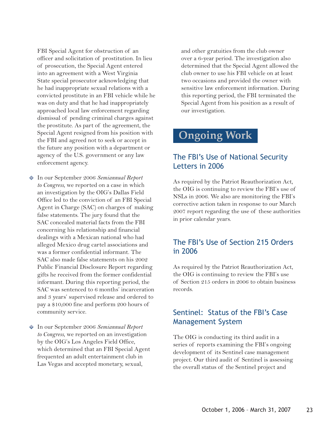FBI Special Agent for obstruction of an officer and solicitation of prostitution. In lieu of prosecution, the Special Agent entered into an agreement with a West Virginia State special prosecutor acknowledging that he had inappropriate sexual relations with a convicted prostitute in an FBI vehicle while he was on duty and that he had inappropriately approached local law enforcement regarding dismissal of pending criminal charges against the prostitute. As part of the agreement, the Special Agent resigned from his position with the FBI and agreed not to seek or accept in the future any position with a department or agency of the U.S. government or any law enforcement agency.

- In our September 2006 *Semiannual Report to Congress*, we reported on a case in which an investigation by the OIG's Dallas Field Office led to the conviction of an FBI Special Agent in Charge (SAC) on charges of making false statements. The jury found that the SAC concealed material facts from the FBI concerning his relationship and financial dealings with a Mexican national who had alleged Mexico drug cartel associations and was a former confidential informant. The SAC also made false statements on his 2002 Public Financial Disclosure Report regarding gifts he received from the former confidential informant. During this reporting period, the SAC was sentenced to 6 months' incarceration and 3 years' supervised release and ordered to pay a \$10,000 fine and perform 200 hours of community service.
- In our September 2006 *Semiannual Report to Congress*, we reported on an investigation by the OIG's Los Angeles Field Office, which determined that an FBI Special Agent frequented an adult entertainment club in Las Vegas and accepted monetary, sexual,

and other gratuities from the club owner over a 6-year period. The investigation also determined that the Special Agent allowed the club owner to use his FBI vehicle on at least two occasions and provided the owner with sensitive law enforcement information. During this reporting period, the FBI terminated the Special Agent from his position as a result of our investigation.

### **Ongoing Work**

### The FBI's Use of National Security Letters in 2006

As required by the Patriot Reauthorization Act*,* the OIG is continuing to review the FBI's use of NSLs in 2006. We also are monitoring the FBI's corrective action taken in response to our March 2007 report regarding the use of these authorities in prior calendar years.

### The FBI's Use of Section 215 Orders in 2006

As required by the Patriot Reauthorization Act, the OIG is continuing to review the FBI's use of Section 215 orders in 2006 to obtain business records.

#### Sentinel: Status of the FBI's Case Management System

The OIG is conducting its third audit in a series of reports examining the FBI's ongoing development of its Sentinel case management project. Our third audit of Sentinel is assessing the overall status of the Sentinel project and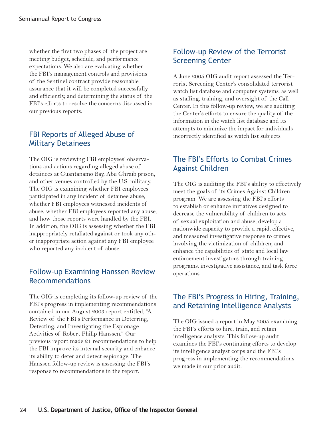whether the first two phases of the project are meeting budget, schedule, and performance expectations. We also are evaluating whether the FBI's management controls and provisions of the Sentinel contract provide reasonable assurance that it will be completed successfully and efficiently, and determining the status of the FBI's efforts to resolve the concerns discussed in our previous reports.

### FBI Reports of Alleged Abuse of Military Detainees

The OIG is reviewing FBI employees' observations and actions regarding alleged abuse of detainees at Guantanamo Bay, Abu Ghraib prison, and other venues controlled by the U.S. military. The OIG is examining whether FBI employees participated in any incident of detainee abuse, whether FBI employees witnessed incidents of abuse, whether FBI employees reported any abuse, and how those reports were handled by the FBI. In addition, the OIG is assessing whether the FBI inappropriately retaliated against or took any other inappropriate action against any FBI employee who reported any incident of abuse.

### Follow-up Examining Hanssen Review Recommendations

The OIG is completing its follow-up review of the FBI's progress in implementing recommendations contained in our August 2003 report entitled, "A Review of the FBI's Performance in Deterring, Detecting, and Investigating the Espionage Activities of Robert Philip Hanssen." Our previous report made 21 recommendations to help the FBI improve its internal security and enhance its ability to deter and detect espionage. The Hanssen follow-up review is assessing the FBI's response to recommendations in the report.

### Follow-up Review of the Terrorist Screening Center

A June 2005 OIG audit report assessed the Terrorist Screening Center's consolidated terrorist watch list database and computer systems, as well as staffing, training, and oversight of the Call Center. In this follow-up review, we are auditing the Center's efforts to ensure the quality of the information in the watch list database and its attempts to minimize the impact for individuals incorrectly identified as watch list subjects.

### The FBI's Efforts to Combat Crimes Against Children

The OIG is auditing the FBI's ability to effectively meet the goals of its Crimes Against Children program. We are assessing the FBI's efforts to establish or enhance initiatives designed to decrease the vulnerability of children to acts of sexual exploitation and abuse; develop a nationwide capacity to provide a rapid, effective, and measured investigative response to crimes involving the victimization of children; and enhance the capabilities of state and local law enforcement investigators through training programs, investigative assistance, and task force operations.

### The FBI's Progress in Hiring, Training, and Retaining Intelligence Analysts

The OIG issued a report in May 2005 examining the FBI's efforts to hire, train, and retain intelligence analysts. This follow-up audit examines the FBI's continuing efforts to develop its intelligence analyst corps and the FBI's progress in implementing the recommendations we made in our prior audit.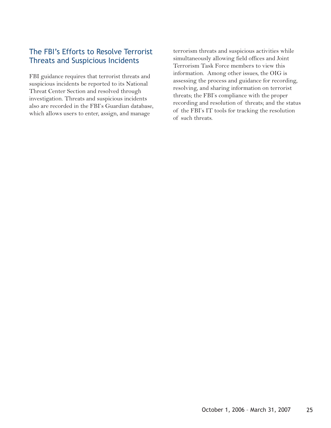### The FBI's Efforts to Resolve Terrorist Threats and Suspicious Incidents

FBI guidance requires that terrorist threats and suspicious incidents be reported to its National Threat Center Section and resolved through investigation. Threats and suspicious incidents also are recorded in the FBI's Guardian database, which allows users to enter, assign, and manage

terrorism threats and suspicious activities while simultaneously allowing field offices and Joint Terrorism Task Force members to view this information. Among other issues, the OIG is assessing the process and guidance for recording, resolving, and sharing information on terrorist threats; the FBI's compliance with the proper recording and resolution of threats; and the status of the FBI's IT tools for tracking the resolution of such threats.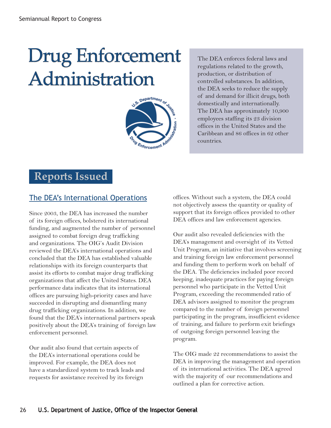## Drug Enforcement Administration



The DEA enforces federal laws and regulations related to the growth, production, or distribution of controlled substances. In addition, the DEA seeks to reduce the supply of and demand for illicit drugs, both domestically and internationally. The DEA has approximately 10,900 employees staffing its 23 division offices in the United States and the Caribbean and 86 offices in 62 other countries.

### **Reports Issued**

### [The DEA's International Operations](http://www.usdoj.gov/oig/reports/DEA/a0719/final.pdf)

Since 2003, the DEA has increased the number of its foreign offices, bolstered its international funding, and augmented the number of personnel assigned to combat foreign drug trafficking and organizations. The OIG's Audit Division reviewed the DEA's international operations and concluded that the DEA has established valuable relationships with its foreign counterparts that assist its efforts to combat major drug trafficking organizations that affect the United States. DEA performance data indicates that its international offices are pursuing high-priority cases and have succeeded in disrupting and dismantling many drug trafficking organizations. In addition, we found that the DEA's international partners speak positively about the DEA's training of foreign law enforcement personnel.

Our audit also found that certain aspects of the DEA's international operations could be improved. For example, the DEA does not have a standardized system to track leads and requests for assistance received by its foreign

offices. Without such a system, the DEA could not objectively assess the quantity or quality of support that its foreign offices provided to other DEA offices and law enforcement agencies.

Our audit also revealed deficiencies with the DEA's management and oversight of its Vetted Unit Program, an initiative that involves screening and training foreign law enforcement personnel and funding them to perform work on behalf of the DEA. The deficiencies included poor record keeping, inadequate practices for paying foreign personnel who participate in the Vetted Unit Program, exceeding the recommended ratio of DEA advisors assigned to monitor the program compared to the number of foreign personnel participating in the program, insufficient evidence of training, and failure to perform exit briefings of outgoing foreign personnel leaving the program.

The OIG made 22 recommendations to assist the DEA in improving the management and operation of its international activities. The DEA agreed with the majority of our recommendations and outlined a plan for corrective action.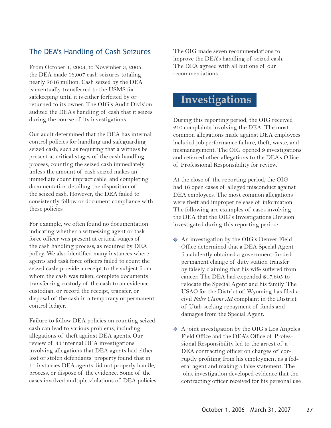### [The DEA's Handling of Cash Seizures](http://www.usdoj.gov/oig/reports/DEA/a0706/final.pdf)

From October 1, 2003, to November 3, 2005, the DEA made 16,007 cash seizures totaling nearly \$616 million. Cash seized by the DEA is eventually transferred to the USMS for safekeeping until it is either forfeited by or returned to its owner. The OIG's Audit Division audited the DEA's handling of cash that it seizes during the course of its investigations.

Our audit determined that the DEA has internal control policies for handling and safeguarding seized cash, such as requiring that a witness be present at critical stages of the cash handling process, counting the seized cash immediately unless the amount of cash seized makes an immediate count impracticable, and completing documentation detailing the disposition of the seized cash. However, the DEA failed to consistently follow or document compliance with these policies.

For example, we often found no documentation indicating whether a witnessing agent or task force officer was present at critical stages of the cash handling process, as required by DEA policy. We also identified many instances where agents and task force officers failed to count the seized cash; provide a receipt to the subject from whom the cash was taken; complete documents transferring custody of the cash to an evidence custodian; or record the receipt, transfer, or disposal of the cash in a temporary or permanent control ledger.

Failure to follow DEA policies on counting seized cash can lead to various problems, including allegations of theft against DEA agents. Our review of 33 internal DEA investigations involving allegations that DEA agents had either lost or stolen defendants' property found that in 11 instances DEA agents did not properly handle, process, or dispose of the evidence. Some of the cases involved multiple violations of DEA policies. The OIG made seven recommendations to improve the DEA's handling of seized cash. The DEA agreed with all but one of our recommendations.

### **Investigations**

During this reporting period, the OIG received 210 complaints involving the DEA. The most common allegations made against DEA employees included job performance failure, theft, waste, and mismanagement. The OIG opened 9 investigations and referred other allegations to the DEA's Office of Professional Responsibility for review.

At the close of the reporting period, the OIG had 16 open cases of alleged misconduct against DEA employees. The most common allegations were theft and improper release of information. The following are examples of cases involving the DEA that the OIG's Investigations Division investigated during this reporting period:

- An investigation by the OIG's Denver Field Office determined that a DEA Special Agent fraudulently obtained a government-funded permanent change of duty station transfer by falsely claiming that his wife suffered from cancer. The DEA had expended \$47,805 to relocate the Special Agent and his family. The USAO for the District of Wyoming has filed a civil *False Claims Act* complaint in the District of Utah seeking repayment of funds and damages from the Special Agent.
- $\Diamond$  A joint investigation by the OIG's Los Angeles Field Office and the DEA's Office of Professional Responsibility led to the arrest of a DEA contracting officer on charges of corruptly profiting from his employment as a federal agent and making a false statement. The joint investigation developed evidence that the contracting officer received for his personal use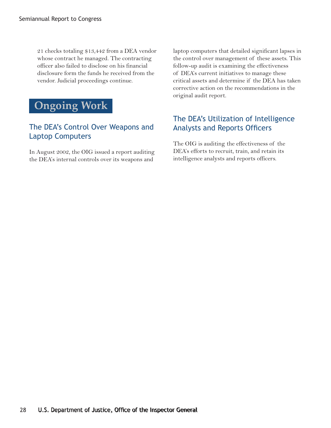21 checks totaling \$13,442 from a DEA vendor whose contract he managed. The contracting officer also failed to disclose on his financial disclosure form the funds he received from the vendor. Judicial proceedings continue.



### The DEA's Control Over Weapons and Laptop Computers

In August 2002, the OIG issued a report auditing the DEA's internal controls over its weapons and

laptop computers that detailed significant lapses in the control over management of these assets. This follow-up audit is examining the effectiveness of DEA's current initiatives to manage these critical assets and determine if the DEA has taken corrective action on the recommendations in the original audit report.

### The DEA's Utilization of Intelligence **Analysts and Reports Officers**

The OIG is auditing the effectiveness of the DEA's efforts to recruit, train, and retain its intelligence analysts and reports officers.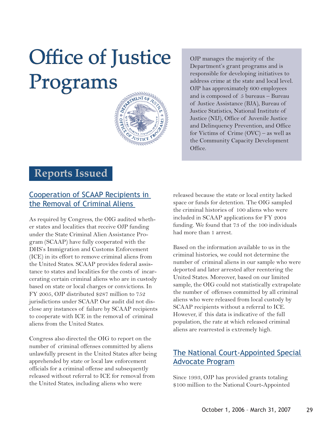# **Office of Justice** Programs



OJP manages the majority of the Department's grant programs and is responsible for developing initiatives to address crime at the state and local level. OJP has approximately 600 employees and is composed of 5 bureaus – Bureau of Justice Assistance (BJA), Bureau of Justice Statistics, National Institute of Justice (NIJ), Office of Juvenile Justice and Delinquency Prevention, and Office for Victims of Crime (OVC) – as well as the Community Capacity Development Office.

### **Reports Issued**

### [Cooperation of SCAAP Recipients in](http://www.usdoj.gov/oig/reports/OJP/a0707/final.pdf) the Removal of Criminal Aliens

As required by Congress, the OIG audited whether states and localities that receive OJP funding under the State Criminal Alien Assistance Program (SCAAP) have fully cooperated with the DHS's Immigration and Customs Enforcement (ICE) in its effort to remove criminal aliens from the United States. SCAAP provides federal assistance to states and localities for the costs of incarcerating certain criminal aliens who are in custody based on state or local charges or convictions. In FY 2005, OJP distributed \$287 million to 752 jurisdictions under SCAAP. Our audit did not disclose any instances of failure by SCAAP recipients to cooperate with ICE in the removal of criminal aliens from the United States.

Congress also directed the OIG to report on the number of criminal offenses committed by aliens unlawfully present in the United States after being apprehended by state or local law enforcement officials for a criminal offense and subsequently released without referral to ICE for removal from the United States, including aliens who were

released because the state or local entity lacked space or funds for detention. The OIG sampled the criminal histories of 100 aliens who were included in SCAAP applications for FY 2004 funding. We found that 73 of the 100 individuals had more than 1 arrest.

Based on the information available to us in the criminal histories, we could not determine the number of criminal aliens in our sample who were deported and later arrested after reentering the United States. Moreover, based on our limited sample, the OIG could not statistically extrapolate the number of offenses committed by all criminal aliens who were released from local custody by SCAAP recipients without a referral to ICE. However, if this data is indicative of the full population, the rate at which released criminal aliens are rearrested is extremely high.

### [The National Court-Appointed Special](http://www.usdoj.gov/oig/reports/OJP/a0704/final.pdf) Advocate Program

Since 1993, OJP has provided grants totaling \$100 million to the National Court-Appointed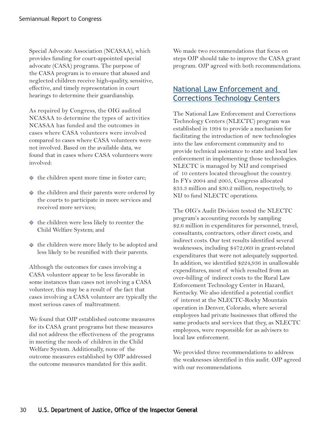Special Advocate Association (NCASAA), which provides funding for court-appointed special advocate (CASA) programs. The purpose of the CASA program is to ensure that abused and neglected children receive high-quality, sensitive, effective, and timely representation in court hearings to determine their guardianship.

As required by Congress, the OIG audited NCASAA to determine the types of activities NCASAA has funded and the outcomes in cases where CASA volunteers were involved compared to cases where CASA volunteers were not involved. Based on the available data, we found that in cases where CASA volunteers were involved:

- $\Diamond$  the children spent more time in foster care;
- $\Diamond$  the children and their parents were ordered by the courts to participate in more services and received more services;
- $\Diamond$  the children were less likely to reenter the Child Welfare System; and
- $\Diamond$  the children were more likely to be adopted and less likely to be reunified with their parents.

Although the outcomes for cases involving a CASA volunteer appear to be less favorable in some instances than cases not involving a CASA volunteer, this may be a result of the fact that cases involving a CASA volunteer are typically the most serious cases of maltreatment.

We found that OJP established outcome measures for its CASA grant programs but these measures did not address the effectiveness of the programs in meeting the needs of children in the Child Welfare System. Additionally, none of the outcome measures established by OJP addressed the outcome measures mandated for this audit.

We made two recommendations that focus on steps OJP should take to improve the CASA grant program. OJP agreed with both recommendations.

### [National Law Enforcement and](http://www.usdoj.gov/oig/reports/OJP/a0722/final.pdf)  Corrections Technology Centers

The National Law Enforcement and Corrections Technology Centers (NLECTC) program was established in 1994 to provide a mechanism for facilitating the introduction of new technologies into the law enforcement community and to provide technical assistance to state and local law enforcement in implementing those technologies. NLECTC is managed by NIJ and comprised of 10 centers located throughout the country. In FYs 2004 and 2005, Congress allocated \$33.3 million and \$30.2 million, respectively, to NIJ to fund NLECTC operations.

The OIG's Audit Division tested the NLECTC program's accounting records by sampling \$2.6 million in expenditures for personnel, travel, consultants, contractors, other direct costs, and indirect costs. Our test results identified several weaknesses, including \$472,069 in grant-related expenditures that were not adequately supported. In addition, we identified \$224,936 in unallowable expenditures, most of which resulted from an over-billing of indirect costs to the Rural Law Enforcement Technology Center in Hazard, Kentucky. We also identified a potential conflict of interest at the NLECTC-Rocky Mountain operation in Denver, Colorado, where several employees had private businesses that offered the same products and services that they, as NLECTC employees, were responsible for as advisers to local law enforcement.

We provided three recommendations to address the weaknesses identified in this audit. OJP agreed with our recommendations.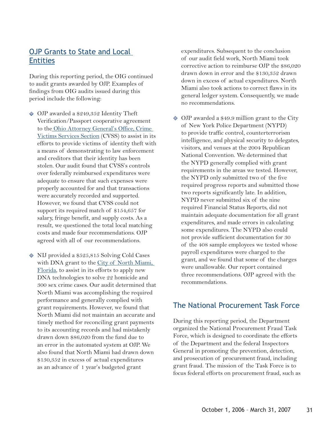### [OJP Grants to State and Local](http://www.usdoj.gov/oig/grants/_ojp.htm)  **Entities**

During this reporting period, the OIG continued to audit grants awarded by OJP. Examples of findings from OIG audits issued during this period include the following:

- OJP awarded a \$249,352 Identity Theft Verification/Passport cooperative agreement [to the Ohio Attorney General's Office, Crime](http://www.usdoj.gov/oig/grants/g5007001.htm) Victims Services Section (CVSS) to assist in its efforts to provide victims of identity theft with a means of demonstrating to law enforcement and creditors that their identity has been stolen. Our audit found that CVSS's controls over federally reimbursed expenditures were adequate to ensure that such expenses were properly accounted for and that transactions were accurately recorded and supported. However, we found that CVSS could not support its required match of \$154,657 for salary, fringe benefit, and supply costs. As a result, we questioned the total local matching costs and made four recommendations. OJP agreed with all of our recommendations.
- NIJ provided a \$525,815 Solving Cold Cases with DNA grant to the City of North Miami, Florida, to assist in its efforts to apply new DNA technologies to solve 22 homicide and 300 sex crime cases. Our audit determined that North Miami was accomplishing the required performance and generally complied with grant requirements. However, we found that North Miami did not maintain an accurate and timely method for reconciling grant payments to its accounting records and had mistakenly drawn down \$86,020 from the fund due to an error in the automated system at OJP. We also found that North Miami had drawn down \$130,352 in excess of actual expenditures as an advance of 1 year's budgeted grant

expenditures. Subsequent to the conclusion of our audit field work, North Miami took corrective action to reimburse OJP the \$86,020 drawn down in error and the \$130,352 drawn down in excess of actual expenditures. North Miami also took actions to correct flaws in its general ledger system. Consequently, we made no recommendations.

◆ OJP awarded a \$49.9 million grant to the City of New York Police Department (NYPD) to provide traffic control, counterterrorism intelligence, and physical security to delegates, visitors, and venues at the 2004 Republican National Convention. We determined that the NYPD generally complied with grant requirements in the areas we tested. However, the NYPD only submitted two of the five required progress reports and submitted those two reports significantly late. In addition, NYPD never submitted six of the nine required Financial Status Reports, did not maintain adequate documentation for all grant expenditures, and made errors in calculating some expenditures. The NYPD also could not provide sufficient documentation for 30 of the 408 sample employees we tested whose payroll expenditures were charged to the grant, and we found that some of the charges were unallowable. Our report contained three recommendations. OJP agreed with the recommendations.

#### The National Procurement Task Force

During this reporting period, the Department organized the National Procurement Fraud Task Force, which is designed to coordinate the efforts of the Department and the federal Inspectors General in promoting the prevention, detection, and prosecution of procurement fraud, including grant fraud. The mission of the Task Force is to focus federal efforts on procurement fraud, such as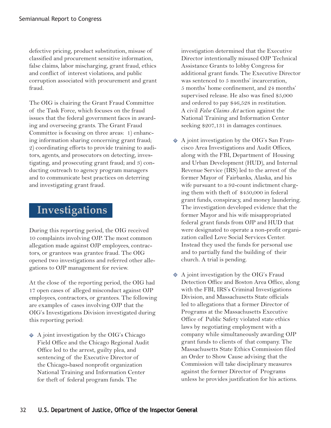defective pricing, product substitution, misuse of classified and procurement sensitive information, false claims, labor mischarging, grant fraud, ethics and conflict of interest violations, and public corruption associated with procurement and grant fraud.

The OIG is chairing the Grant Fraud Committee of the Task Force, which focuses on the fraud issues that the federal government faces in awarding and overseeing grants. The Grant Fraud Committee is focusing on three areas: 1) enhancing information sharing concerning grant fraud; 2) coordinating efforts to provide training to auditors, agents, and prosecutors on detecting, investigating, and prosecuting grant fraud; and 3) conducting outreach to agency program managers and to communicate best practices on deterring and investigating grant fraud.

### **Investigations**

During this reporting period, the OIG received 10 complaints involving OJP. The most common allegation made against OJP employees, contractors, or grantees was grantee fraud. The OIG opened two investigations and referred other allegations to OJP management for review.

At the close of the reporting period, the OIG had 17 open cases of alleged misconduct against OJP employees, contractors, or grantees. The following are examples of cases involving OJP that the OIG's Investigations Division investigated during this reporting period:

 $\triangle$  A joint investigation by the OIG's Chicago Field Office and the Chicago Regional Audit Office led to the arrest, guilty plea, and sentencing of the Executive Director of the Chicago-based nonprofit organization National Training and Information Center for theft of federal program funds. The

investigation determined that the Executive Director intentionally misused OJP Technical Assistance Grants to lobby Congress for additional grant funds. The Executive Director was sentenced to 5 months' incarceration, 5 months' home confinement, and 24 months' supervised release. He also was fined \$5,000 and ordered to pay \$46,528 in restitution. A civil *False Claims Act* action against the National Training and Information Center seeking \$207,131 in damages continues.

- $\triangle$  A joint investigation by the OIG's San Francisco Area Investigations and Audit Offices, along with the FBI, Department of Housing and Urban Development (HUD), and Internal Revenue Service (IRS) led to the arrest of the former Mayor of Fairbanks, Alaska, and his wife pursuant to a 92-count indictment charging them with theft of \$450,000 in federal grant funds, conspiracy, and money laundering. The investigation developed evidence that the former Mayor and his wife misappropriated federal grant funds from OJP and HUD that were designated to operate a non-profit organization called Love Social Services Center. Instead they used the funds for personal use and to partially fund the building of their church. A trial is pending.
- $\blacklozenge$  A joint investigation by the OIG's Fraud Detection Office and Boston Area Office, along with the FBI, IRS's Criminal Investigations Division, and Massachusetts State officials led to allegations that a former Director of Programs at the Massachusetts Executive Office of Public Safety violated state ethics laws by negotiating employment with a company while simultaneously awarding OJP grant funds to clients of that company. The Massachusetts State Ethics Commission filed an Order to Show Cause advising that the Commission will take disciplinary measures against the former Director of Programs unless he provides justification for his actions.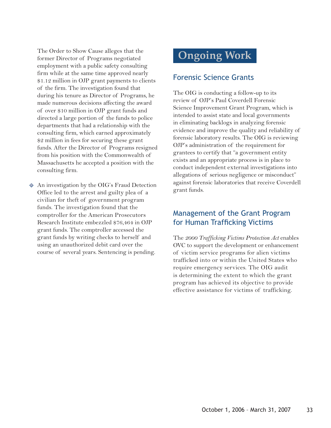The Order to Show Cause alleges that the former Director of Programs negotiated employment with a public safety consulting firm while at the same time approved nearly \$1.12 million in OJP grant payments to clients of the firm. The investigation found that during his tenure as Director of Programs, he made numerous decisions affecting the award of over \$10 million in OJP grant funds and directed a large portion of the funds to police departments that had a relationship with the consulting firm, which earned approximately \$2 million in fees for securing these grant funds. After the Director of Programs resigned from his position with the Commonwealth of Massachusetts he accepted a position with the consulting firm.

 $\Diamond$  An investigation by the OIG's Fraud Detection Office led to the arrest and guilty plea of a civilian for theft of government program funds. The investigation found that the comptroller for the American Prosecutors Research Institute embezzled \$76,464 in OJP grant funds. The comptroller accessed the grant funds by writing checks to herself and using an unauthorized debit card over the course of several years. Sentencing is pending.

## **Ongoing Work**

#### Forensic Science Grants

The OIG is conducting a follow-up to its review of OJP's Paul Coverdell Forensic Science Improvement Grant Program, which is intended to assist state and local governments in eliminating backlogs in analyzing forensic evidence and improve the quality and reliability of forensic laboratory results. The OIG is reviewing OJP's administration of the requirement for grantees to certify that "a government entity exists and an appropriate process is in place to conduct independent external investigations into allegations of serious negligence or misconduct" against forensic laboratories that receive Coverdell grant funds.

#### Management of the Grant Program for Human Trafficking Victims

The *2000 Trafficking Victims Protection Act* enables OVC to support the development or enhancement of victim service programs for alien victims trafficked into or within the United States who require emergency services. The OIG audit is determining the extent to which the grant program has achieved its objective to provide effective assistance for victims of trafficking.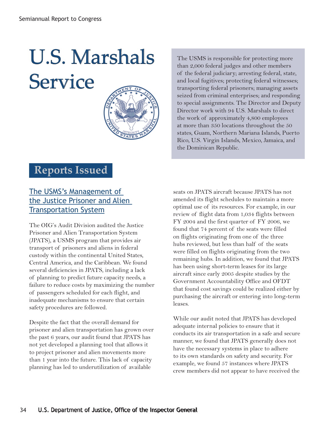## **U.S. Marshals Service**



The USMS is responsible for protecting more than 2,000 federal judges and other members of the federal judiciary; arresting federal, state, and local fugitives; protecting federal witnesses; transporting federal prisoners; managing assets seized from criminal enterprises; and responding to special assignments. The Director and Deputy Director work with 94 U.S. Marshals to direct the work of approximately 4,800 employees at more than 350 locations throughout the 50 states, Guam, Northern Mariana Islands, Puerto Rico, U.S. Virgin Islands, Mexico, Jamaica, and the Dominican Republic.

### **Reports Issued**

### The USMS's Management of [the Justice Prisoner and Alien](http://www.usdoj.gov/oig/reports/USMS/a0701/final.pdf)  Transportation System

The OIG's Audit Division audited the Justice Prisoner and Alien Transportation System (JPATS), a USMS program that provides air transport of prisoners and aliens in federal custody within the continental United States, Central America, and the Caribbean. We found several deficiencies in JPATS, including a lack of planning to predict future capacity needs, a failure to reduce costs by maximizing the number of passengers scheduled for each flight, and inadequate mechanisms to ensure that certain safety procedures are followed.

Despite the fact that the overall demand for prisoner and alien transportation has grown over the past 6 years, our audit found that JPATS has not yet developed a planning tool that allows it to project prisoner and alien movements more than 1 year into the future. This lack of capacity planning has led to underutilization of available

seats on JPATS aircraft because JPATS has not amended its flight schedules to maintain a more optimal use of its resources. For example, in our review of flight data from 1,034 flights between FY 2004 and the first quarter of FY 2006, we found that 74 percent of the seats were filled on flights originating from one of the three hubs reviewed, but less than half of the seats were filled on flights originating from the two remaining hubs. In addition, we found that JPATS has been using short-term leases for its large aircraft since early 2005 despite studies by the Government Accountability Office and OFDT that found cost savings could be realized either by purchasing the aircraft or entering into long-term leases.

While our audit noted that JPATS has developed adequate internal policies to ensure that it conducts its air transportation in a safe and secure manner, we found that JPATS generally does not have the necessary systems in place to adhere to its own standards on safety and security. For example, we found 57 instances where JPATS crew members did not appear to have received the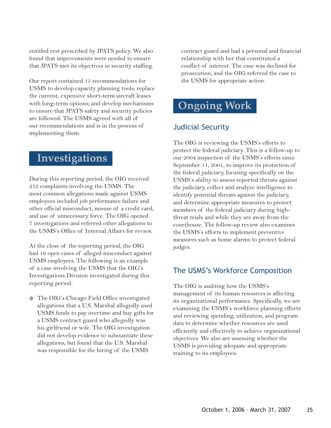entitled rest prescribed by JPATS policy. We also found that improvements were needed to ensure that JPATS met its objectives in security staffing.

Our report contained 15 recommendations for USMS to develop capacity planning tools; replace the current, expensive short-term aircraft leases with long-term options; and develop mechanisms to ensure that JPATS safety and security policies are followed. The USMS agreed with all of our recommendations and is in the process of implementing them.

### **Investigations**

During this reporting period, the OIG received 212 complaints involving the USMS. The most common allegations made against USMS employees included job performance failure and other official misconduct, misuse of a credit card, and use of unnecessary force. The OIG opened 7 investigations and referred other allegations to the USMS's Office of Internal Affairs for review.

At the close of the reporting period, the OIG had 16 open cases of alleged misconduct against USMS employees. The following is an example of a case involving the USMS that the OIG's Investigations Division investigated during this reporting period:

- The OIG's Chicago Field Office investigated allegations that a U.S. Marshal allegedly used USMS funds to pay overtime and buy gifts for a USMS contract guard who allegedly was his girlfriend or wife. The OIG investigation did not develop evidence to substantiate these allegations, but found that the U.S. Marshal was responsible for the hiring of the USMS

contract guard and had a personal and financial relationship with her that constituted a conflict of interest. The case was declined for prosecution, and the OIG referred the case to the USMS for appropriate action.

### **Ongoing Work**

### Judicial Security

The OIG is reviewing the USMS's efforts to protect the federal judiciary. This is a follow-up to our 2004 inspection of the USMS's efforts since September 11, 2001, to improve its protection of the federal judiciary, focusing specifically on the USMS's ability to assess reported threats against the judiciary, collect and analyze intelligence to identify potential threats against the judiciary, and determine appropriate measures to protect members of the federal judiciary during highthreat trials and while they are away from the courthouse. The follow-up review also examines the USMS's efforts to implement preventive measures such as home alarms to protect federal judges.

#### The USMS's Workforce Composition

The OIG is auditing how the USMS's management of its human resources is affecting its organizational performance. Specifically, we are examining the USMS's workforce planning efforts and reviewing spending, utilization, and program data to determine whether resources are used efficiently and effectively to achieve organizational objectives. We also are assessing whether the USMS is providing adequate and appropriate training to its employees.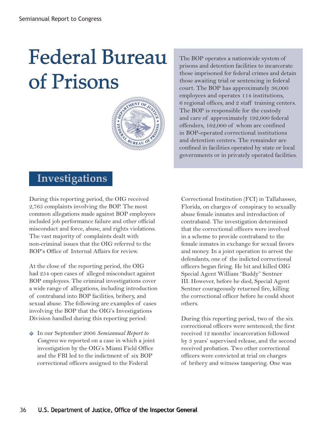## Federal Bureau of Prisons



 **Investigations**

During this reporting period, the OIG received 2,765 complaints involving the BOP. The most common allegations made against BOP employees included job performance failure and other official misconduct and force, abuse, and rights violations. The vast majority of complaints dealt with non-criminal issues that the OIG referred to the BOP's Office of Internal Affairs for review.

At the close of the reporting period, the OIG had 254 open cases of alleged misconduct against BOP employees. The criminal investigations cover a wide range of allegations, including introduction of contraband into BOP facilities, bribery, and sexual abuse. The following are examples of cases involving the BOP that the OIG's Investigations Division handled during this reporting period:

- In our September 2006 *Semiannual Report to Congress* we reported on a case in which a joint investigation by the OIG's Miami Field Office and the FBI led to the indictment of six BOP correctional officers assigned to the Federal

The BOP operates a nationwide system of prisons and detention facilities to incarcerate those imprisoned for federal crimes and detain those awaiting trial or sentencing in federal court. The BOP has approximately 36,000 employees and operates 114 institutions, 6 regional offices, and 2 staff training centers. The BOP is responsible for the custody and care of approximately 192,000 federal offenders, 162,000 of whom are confined in BOP-operated correctional institutions and detention centers. The remainder are confined in facilities operated by state or local governments or in privately operated facilities.

Correctional Institution (FCI) in Tallahassee, Florida, on charges of conspiracy to sexually abuse female inmates and introduction of contraband. The investigation determined that the correctional officers were involved in a scheme to provide contraband to the female inmates in exchange for sexual favors and money. In a joint operation to arrest the defendants, one of the indicted correctional officers began firing. He hit and killed OIG Special Agent William "Buddy" Sentner III. However, before he died, Special Agent Sentner courageously returned fire, killing the correctional officer before he could shoot others.

 During this reporting period, two of the six correctional officers were sentenced; the first received 12 months' incarceration followed by 3 years' supervised release, and the second received probation. Two other correctional officers were convicted at trial on charges of bribery and witness tampering. One was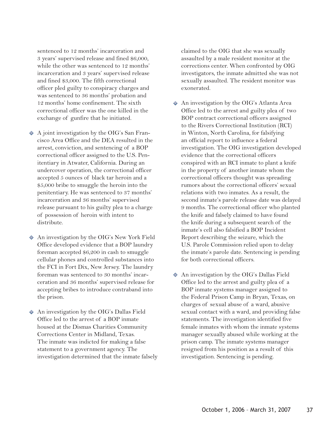sentenced to 12 months' incarceration and 3 years' supervised release and fined \$6,000, while the other was sentenced to 12 months' incarceration and 3 years' supervised release and fined \$3,000. The fifth correctional officer pled guilty to conspiracy charges and was sentenced to 36 months' probation and 12 months' home confinement. The sixth correctional officer was the one killed in the exchange of gunfire that he initiated.

- $\triangle$  A joint investigation by the OIG's San Francisco Area Office and the DEA resulted in the arrest, conviction, and sentencing of a BOP correctional officer assigned to the U.S. Penitentiary in Atwater, California. During an undercover operation, the correctional officer accepted 5 ounces of black tar heroin and a \$5,000 bribe to smuggle the heroin into the penitentiary. He was sentenced to 37 months' incarceration and 36 months' supervised release pursuant to his guilty plea to a charge of possession of heroin with intent to distribute.
- An investigation by the OIG's New York Field Office developed evidence that a BOP laundry foreman accepted \$6,200 in cash to smuggle cellular phones and controlled substances into the FCI in Fort Dix, New Jersey. The laundry foreman was sentenced to 30 months' incarceration and 36 months' supervised release for accepting bribes to introduce contraband into the prison.
- An investigation by the OIG's Dallas Field Office led to the arrest of a BOP inmate housed at the Dismas Charities Community Corrections Center in Midland, Texas. The inmate was indicted for making a false statement to a government agency. The investigation determined that the inmate falsely

claimed to the OIG that she was sexually assaulted by a male resident monitor at the corrections center. When confronted by OIG investigators, the inmate admitted she was not sexually assaulted. The resident monitor was exonerated.

- An investigation by the OIG's Atlanta Area Office led to the arrest and guilty plea of two BOP contract correctional officers assigned to the Rivers Correctional Institution (RCI) in Winton, North Carolina, for falsifying an official report to influence a federal investigation. The OIG investigation developed evidence that the correctional officers conspired with an RCI inmate to plant a knife in the property of another inmate whom the correctional officers thought was spreading rumors about the correctional officers' sexual relations with two inmates. As a result, the second inmate's parole release date was delayed 9 months. The correctional officer who planted the knife and falsely claimed to have found the knife during a subsequent search of the inmate's cell also falsified a BOP Incident Report describing the seizure, which the U.S. Parole Commission relied upon to delay the inmate's parole date. Sentencing is pending for both correctional officers.
- An investigation by the OIG's Dallas Field Office led to the arrest and guilty plea of a BOP inmate systems manager assigned to the Federal Prison Camp in Bryan, Texas, on charges of sexual abuse of a ward, abusive sexual contact with a ward, and providing false statements. The investigation identified five female inmates with whom the inmate systems manager sexually abused while working at the prison camp. The inmate systems manager resigned from his position as a result of this investigation. Sentencing is pending.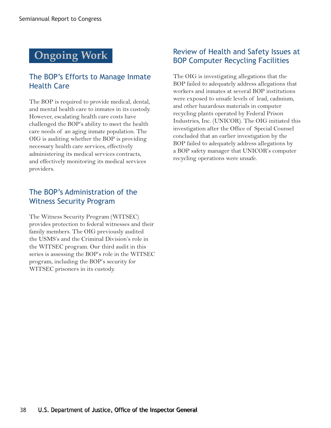## **Ongoing Work**

### The BOP's Efforts to Manage Inmate Health Care

The BOP is required to provide medical, dental, and mental health care to inmates in its custody. However, escalating health care costs have challenged the BOP's ability to meet the health care needs of an aging inmate population. The OIG is auditing whether the BOP is providing necessary health care services, effectively administering its medical services contracts, and effectively monitoring its medical services providers.

### The BOP's Administration of the Witness Security Program

The Witness Security Program (WITSEC) provides protection to federal witnesses and their family members. The OIG previously audited the USMS's and the Criminal Division's role in the WITSEC program. Our third audit in this series is assessing the BOP's role in the WITSEC program, including the BOP's security for WITSEC prisoners in its custody.

### Review of Health and Safety Issues at BOP Computer Recycling Facilities

The OIG is investigating allegations that the BOP failed to adequately address allegations that workers and inmates at several BOP institutions were exposed to unsafe levels of lead, cadmium, and other hazardous materials in computer recycling plants operated by Federal Prison Industries, Inc. (UNICOR). The OIG initiated this investigation after the Office of Special Counsel concluded that an earlier investigation by the BOP failed to adequately address allegations by a BOP safety manager that UNICOR's computer recycling operations were unsafe.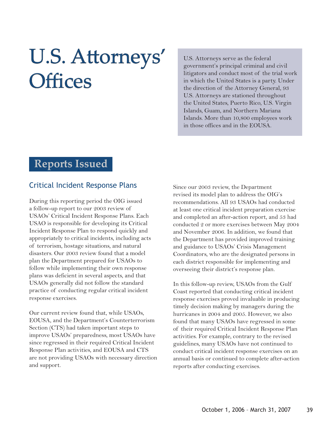## U.S. Attorneys' **Offices**

U.S. Attorneys serve as the federal government's principal criminal and civil litigators and conduct most of the trial work in which the United States is a party. Under the direction of the Attorney General, 93 U.S. Attorneys are stationed throughout the United States, Puerto Rico, U.S. Virgin Islands, Guam, and Northern Mariana Islands. More than 10,800 employees work in those offices and in the EOUSA.

### **Reports Issued**

#### [Critical Incident Response Plans](http://www.usdoj.gov/oig/reports/EOUSA/e0701/final.pdf)

During this reporting period the OIG issued a follow-up report to our 2003 review of USAOs' Critical Incident Response Plans. Each USAO is responsible for developing its Critical Incident Response Plan to respond quickly and appropriately to critical incidents, including acts of terrorism, hostage situations, and natural disasters. Our 2003 review found that a model plan the Department prepared for USAOs to follow while implementing their own response plans was deficient in several aspects, and that USAOs generally did not follow the standard practice of conducting regular critical incident response exercises.

Our current review found that, while USAOs, EOUSA, and the Department's Counterterrorism Section (CTS) had taken important steps to improve USAOs' preparedness, most USAOs have since regressed in their required Critical Incident Response Plan activities, and EOUSA and CTS are not providing USAOs with necessary direction and support.

Since our 2003 review, the Department revised its model plan to address the OIG's recommendations. All 93 USAOs had conducted at least one critical incident preparation exercise and completed an after-action report, and 53 had conducted 2 or more exercises between May 2004 and November 2006. In addition, we found that the Department has provided improved training and guidance to USAOs' Crisis Management Coordinators, who are the designated persons in each district responsible for implementing and overseeing their district's response plan.

In this follow-up review, USAOs from the Gulf Coast reported that conducting critical incident response exercises proved invaluable in producing timely decision making by managers during the hurricanes in 2004 and 2005. However, we also found that many USAOs have regressed in some of their required Critical Incident Response Plan activities. For example, contrary to the revised guidelines, many USAOs have not continued to conduct critical incident response exercises on an annual basis or continued to complete after-action reports after conducting exercises.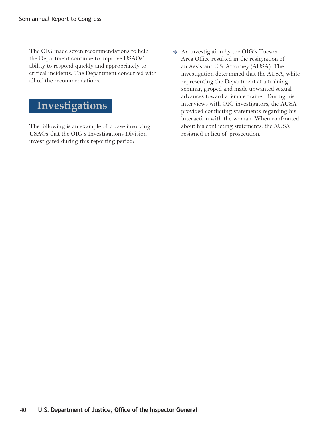The OIG made seven recommendations to help the Department continue to improve USAOs' ability to respond quickly and appropriately to critical incidents. The Department concurred with all of the recommendations.

## **Investigations**

The following is an example of a case involving USAOs that the OIG's Investigations Division investigated during this reporting period:

- An investigation by the OIG's Tucson Area Office resulted in the resignation of an Assistant U.S. Attorney (AUSA). The investigation determined that the AUSA, while representing the Department at a training seminar, groped and made unwanted sexual advances toward a female trainer. During his interviews with OIG investigators, the AUSA provided conflicting statements regarding his interaction with the woman. When confronted about his conflicting statements, the AUSA resigned in lieu of prosecution.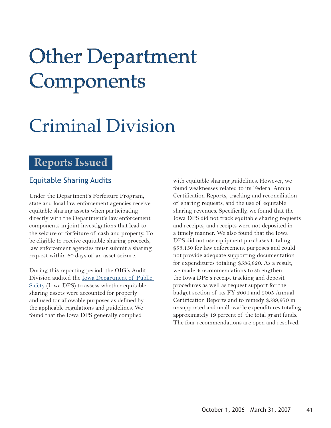## **Other Department** Components

## Criminal Division

### **Reports Issued**

#### [Equitable Sharing Audits](http://www.usdoj.gov/oig/grants/_equ.htm)

Under the Department's Forfeiture Program, state and local law enforcement agencies receive equitable sharing assets when participating directly with the Department's law enforcement components in joint investigations that lead to the seizure or forfeiture of cash and property. To be eligible to receive equitable sharing proceeds, law enforcement agencies must submit a sharing request within 60 days of an asset seizure.

During this reporting period, the OIG's Audit Division audited the <u>Iowa Department of Public</u> Safety (Iowa DPS) to assess whether equitable sharing assets were accounted for properly and used for allowable purposes as defined by the applicable regulations and guidelines. We found that the Iowa DPS generally complied

with equitable sharing guidelines. However, we found weaknesses related to its Federal Annual Certification Reports, tracking and reconciliation of sharing requests, and the use of equitable sharing revenues. Specifically, we found that the Iowa DPS did not track equitable sharing requests and receipts, and receipts were not deposited in a timely manner. We also found that the Iowa DPS did not use equipment purchases totaling \$53,150 for law enforcement purposes and could not provide adequate supporting documentation for expenditures totaling \$536,820. As a result, we made 4 recommendations to strengthen the Iowa DPS's receipt tracking and deposit procedures as well as request support for the budget section of its FY 2004 and 2005 Annual Certification Reports and to remedy \$589,970 in unsupported and unallowable expenditures totaling approximately 19 percent of the total grant funds. The four recommendations are open and resolved.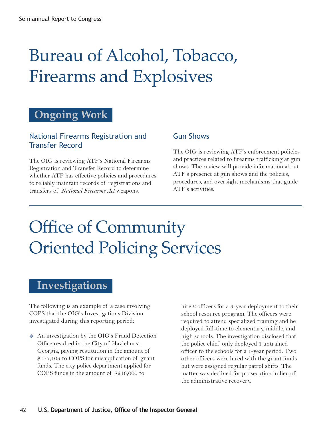## Bureau of Alcohol, Tobacco, Firearms and Explosives

### **Ongoing Work**

### National Firearms Registration and Transfer Record

The OIG is reviewing ATF's National Firearms Registration and Transfer Record to determine whether ATF has effective policies and procedures to reliably maintain records of registrations and transfers of *National Firearms Act* weapons.

### Gun Shows

The OIG is reviewing ATF's enforcement policies and practices related to firearms trafficking at gun shows. The review will provide information about ATF's presence at gun shows and the policies, procedures, and oversight mechanisms that guide ATF's activities.

## Office of Community Oriented Policing Services

### **Investigations**

The following is an example of a case involving COPS that the OIG's Investigations Division investigated during this reporting period:

 $\Diamond$  An investigation by the OIG's Fraud Detection Office resulted in the City of Hazlehurst, Georgia, paying restitution in the amount of \$177,109 to COPS for misapplication of grant funds. The city police department applied for COPS funds in the amount of \$216,000 to

hire 2 officers for a 3-year deployment to their school resource program. The officers were required to attend specialized training and be deployed full-time to elementary, middle, and high schools. The investigation disclosed that the police chief only deployed 1 untrained officer to the schools for a 1-year period. Two other officers were hired with the grant funds but were assigned regular patrol shifts. The matter was declined for prosecution in lieu of the administrative recovery.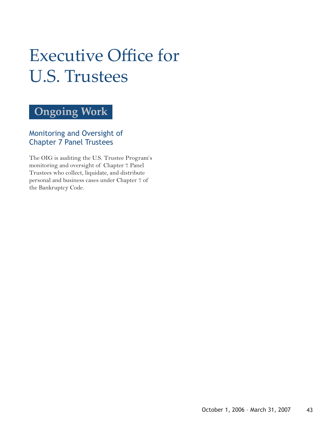## **Executive Office for** U.S. Trustees

## **Ongoing Work**

Monitoring and Oversight of Chapter 7 Panel Trustees

The OIG is auditing the U.S. Trustee Program's monitoring and oversight of Chapter 7 Panel Trustees who collect, liquidate, and distribute personal and business cases under Chapter 7 of the Bankruptcy Code*.*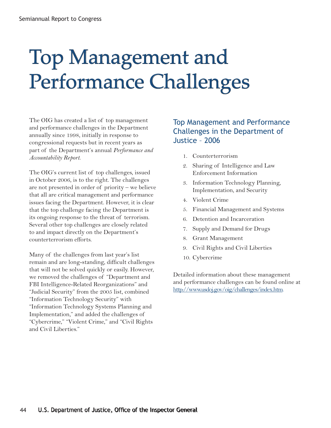## Top Management and Performance Challenges

The OIG has created a list of top management and performance challenges in the Department annually since 1998, initially in response to congressional requests but in recent years as part of the Department's annual *Performance and Accountability Report*.

The OIG's current list of top challenges, issued in October 2006, is to the right. The challenges are not presented in order of priority – we believe that all are critical management and performance issues facing the Department. However, it is clear that the top challenge facing the Department is its ongoing response to the threat of terrorism. Several other top challenges are closely related to and impact directly on the Department's counterterrorism efforts.

Many of the challenges from last year's list remain and are long-standing, difficult challenges that will not be solved quickly or easily. However, we removed the challenges of "Department and FBI Intelligence-Related Reorganizations" and "Judicial Security" from the 2005 list, combined "Information Technology Security" with "Information Technology Systems Planning and Implementation," and added the challenges of "Cybercrime," "Violent Crime," and "Civil Rights and Civil Liberties."

### Top Management and Performance Challenges in the Department of Justice – 2006

- 1. Counterterrorism
- 2. Sharing of Intelligence and Law Enforcement Information
- 3. Information Technology Planning, Implementation, and Security
- 4. Violent Crime
- 5. Financial Management and Systems
- 6. Detention and Incarceration
- 7. Supply and Demand for Drugs
- 8. Grant Management
- 9. Civil Rights and Civil Liberties
- 10. Cybercrime

Detailed information about these management and performance challenges can be found online at http://www.usdoj.gov/oig/challenges/index.htm.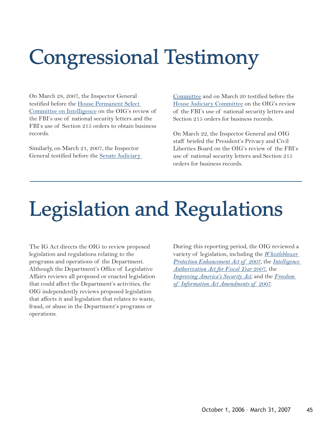## **Congressional Testimony**

On March 28, 2007, the Inspector General [testified before the House Permanent Select](http://www.usdoj.gov/oig/testimony/0703b/final.pdf) Committee on Intelligence on the OIG's review of the FBI's use of national security letters and the FBI's use of Section 215 orders to obtain business records.

Similarly, on March 21, 2007, the Inspector General testified before the Senate Judiciary Committee and on March 20 testified before the [House Judiciary Committee](http://www.usdoj.gov/oig/testimony/0703/final.pdf) on the OIG's review of the FBI's use of national security letters and Section 215 orders for business records.

On March 22, the Inspector General and OIG staff briefed the President's Privacy and Civil Liberties Board on the OIG's review of the FBI's use of national security letters and Section 215 orders for business records.

## [Legislation and Regulations](http://www.usdoj.gov/oig/testimony/0703a/final.pdf)

The IG Act directs the OIG to review proposed legislation and regulations relating to the programs and operations of the Department. Although the Department's Office of Legislative Affairs reviews all proposed or enacted legislation that could affect the Department's activities, the OIG independently reviews proposed legislation that affects it and legislation that relates to waste, fraud, or abuse in the Department's programs or operations.

During this reporting period, the OIG reviewed a [variety of legislation, including the](http://thomas.loc.gov/cgi-bin/bdquery/z?d110:h.r.00985:) *Whistleblower [Protection Enhancement Act of 2007,](http://thomas.loc.gov/cgi-bin/bdquery/z?d110:SN00372:)* the *Intelligence Authorization Act for Fiscal Year* 2007, the *[Improving America's Security Act](http://thomas.loc.gov/cgi-bin/bdquery/z?d110:s.00004:)*, and the *Freedom [of Information Act Amendments of 2007.](http://thomas.loc.gov/cgi-bin/bdquery/z?d110:HR01309:@@@L&summ2=m&)*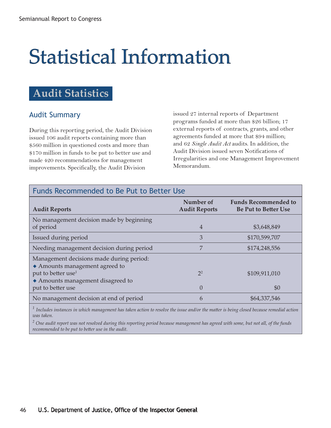## **Statistical Information**

### **Audit Statistics**

### Audit Summary

During this reporting period, the Audit Division issued 106 audit reports containing more than \$560 million in questioned costs and more than \$170 million in funds to be put to better use and made 420 recommendations for management improvements. Specifically, the Audit Division

issued 27 internal reports of Department programs funded at more than \$26 billion; 17 external reports of contracts, grants, and other agreements funded at more that \$94 million; and 62 *Single Audit Act* audits. In addition, the Audit Division issued seven Notifications of Irregularities and one Management Improvement Memorandum.

| Funds Recommended to Be Put to Better Use                                                                    |                                   |                                                            |  |  |  |
|--------------------------------------------------------------------------------------------------------------|-----------------------------------|------------------------------------------------------------|--|--|--|
| <b>Audit Reports</b>                                                                                         | Number of<br><b>Audit Reports</b> | <b>Funds Recommended to</b><br><b>Be Put to Better Use</b> |  |  |  |
| No management decision made by beginning<br>of period                                                        | 4                                 | \$3,648,849                                                |  |  |  |
| Issued during period                                                                                         | 3                                 | \$170,599,707                                              |  |  |  |
| Needing management decision during period                                                                    |                                   | \$174,248,556                                              |  |  |  |
| Management decisions made during period:<br>• Amounts management agreed to<br>put to better use <sup>1</sup> | $2^2$                             | \$109,911,010                                              |  |  |  |
| • Amounts management disagreed to<br>put to better use                                                       | $\Omega$                          | \$0                                                        |  |  |  |
| No management decision at end of period                                                                      | 6                                 | \$64,337,546                                               |  |  |  |

 $^1$  Includes instances in which management has taken action to resolve the issue and/or the matter is being closed because remedial action *was taken.*

*<sup>2</sup> One audit report was not resolved during this reporting period because management has agreed with some, but not all, of the funds recommended to be put to be- er use in the audit.*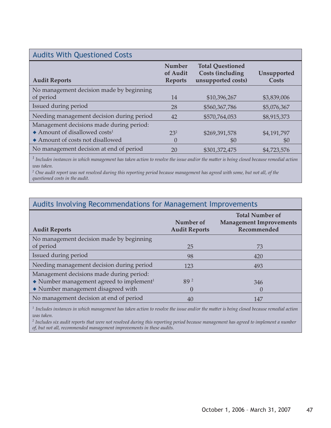| <b>Audits With Questioned Costs</b>                   |                                      |                                                                          |                      |
|-------------------------------------------------------|--------------------------------------|--------------------------------------------------------------------------|----------------------|
| <b>Audit Reports</b>                                  | Number<br>of Audit<br><b>Reports</b> | <b>Total Questioned</b><br><b>Costs (including</b><br>unsupported costs) | Unsupported<br>Costs |
| No management decision made by beginning<br>of period | 14                                   | \$10,396,267                                                             | \$3,839,006          |
| Issued during period                                  | 28                                   | \$560,367,786                                                            | \$5,076,367          |
| Needing management decision during period             | 42                                   | \$570,764,053                                                            | \$8,915,373          |
| Management decisions made during period:              |                                      |                                                                          |                      |
| $\triangle$ Amount of disallowed costs <sup>1</sup>   | $23^{2}$                             | \$269,391,578                                                            | \$4,191,797          |
| Amount of costs not disallowed                        | $\left( \right)$                     | \$0                                                                      | \$0                  |
| No management decision at end of period               | 20                                   | \$301,372,475                                                            | \$4,723,576          |

<sup>1</sup> Includes instances in which management has taken action to resolve the issue and/or the matter is being closed because remedial action *was taken.*

*<sup>2</sup> One audit report was not resolved during this reporting period because management has agreed with some, but not all, of the questioned costs in the audit.*

### Audits Involving Recommendations for Management Improvements

| <b>Audit Reports</b>                                               | Number of<br><b>Audit Reports</b> | <b>Total Number of</b><br><b>Management Improvements</b><br>Recommended |
|--------------------------------------------------------------------|-----------------------------------|-------------------------------------------------------------------------|
| No management decision made by beginning<br>of period              | 25                                | 73                                                                      |
| Issued during period                                               | 98                                | 420                                                                     |
| Needing management decision during period                          | 123                               | 493                                                                     |
| Management decisions made during period:                           |                                   |                                                                         |
| $\blacklozenge$ Number management agreed to implement <sup>1</sup> | 89 2                              | 346                                                                     |
| • Number management disagreed with                                 | $\theta$                          |                                                                         |
| No management decision at end of period                            | 40                                | 147                                                                     |

 $^1$  Includes instances in which management has taken action to resolve the issue and/or the matter is being closed because remedial action *was taken.*

*<sup>2</sup> Includes six audit reports that were not resolved during this reporting period because management has agreed to implement a number of, but not all, recommended management improvements in these audits.*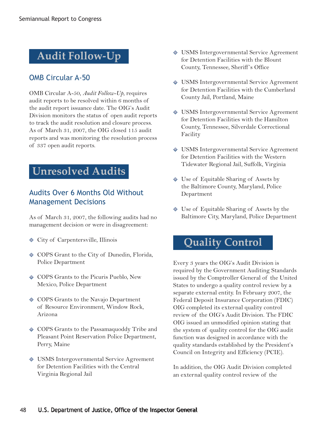### **Audit Follow-Up**

### OMB Circular A-50

OMB Circular A-50, *Audit Follow-Up*, requires audit reports to be resolved within 6 months of the audit report issuance date. The OIG's Audit Division monitors the status of open audit reports to track the audit resolution and closure process. As of March 31, 2007, the OIG closed 115 audit reports and was monitoring the resolution process of 337 open audit reports.

### **Unresolved Audits**

#### Audits Over 6 Months Old Without Management Decisions

As of March 31, 2007, the following audits had no management decision or were in disagreement:

- City of Carpentersville, Illinois
- $\Diamond$  COPS Grant to the City of Dunedin, Florida, Police Department
- ◆ COPS Grants to the Picuris Pueblo, New Mexico, Police Department
- $\Diamond$  COPS Grants to the Navajo Department of Resource Environment, Window Rock, Arizona
- COPS Grants to the Passamaquoddy Tribe and Pleasant Point Reservation Police Department, Perry, Maine
- USMS Intergovernmental Service Agreement for Detention Facilities with the Central Virginia Regional Jail
- USMS Intergovernmental Service Agreement for Detention Facilities with the Blount County, Tennessee, Sheriff 's Office
- USMS Intergovernmental Service Agreement for Detention Facilities with the Cumberland County Jail, Portland, Maine
- USMS Intergovernmental Service Agreement for Detention Facilities with the Hamilton County, Tennessee, Silverdale Correctional Facility
- USMS Intergovernmental Service Agreement for Detention Facilities with the Western Tidewater Regional Jail, Suffolk, Virginia
- Use of Equitable Sharing of Assets by the Baltimore County, Maryland, Police Department
- ◆ Use of Equitable Sharing of Assets by the Baltimore City, Maryland, Police Department

### **Quality Control**

Every 3 years the OIG's Audit Division is required by the Government Auditing Standards issued by the Comptroller General of the United States to undergo a quality control review by a separate external entity. In February 2007, the Federal Deposit Insurance Corporation (FDIC) OIG completed its external quality control review of the OIG's Audit Division. The FDIC OIG issued an unmodified opinion stating that the system of quality control for the OIG audit function was designed in accordance with the quality standards established by the President's Council on Integrity and Efficiency (PCIE).

In addition, the OIG Audit Division completed an external quality control review of the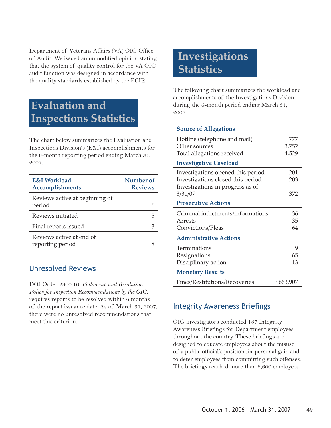Department of Veterans Affairs (VA) OIG Office of Audit. We issued an unmodified opinion stating that the system of quality control for the VA OIG audit function was designed in accordance with the quality standards established by the PCIE.

### **Evaluation and Inspections Statistics**

The chart below summarizes the Evaluation and Inspections Division's (E&I) accomplishments for the 6-month reporting period ending March 31, 2007.

| E&I Workload<br>Accomplishments              | Number of<br><b>Reviews</b> |
|----------------------------------------------|-----------------------------|
| Reviews active at beginning of<br>period     |                             |
| Reviews initiated                            | h                           |
| Final reports issued                         |                             |
| Reviews active at end of<br>reporting period |                             |

#### Unresolved Reviews

DOJ Order 2900.10, *Follow-up and Resolution Policy for Inspection Recommendations by the OIG*, requires reports to be resolved within 6 months of the report issuance date. As of March 31, 2007, there were no unresolved recommendations that meet this criterion.

## **Investigations Statistics**

The following chart summarizes the workload and accomplishments of the Investigations Division during the 6-month period ending March 31, 2007.

#### **Source of Allegations**

| Hotline (telephone and mail)      | 777       |
|-----------------------------------|-----------|
| Other sources                     | 3,752     |
| Total allegations received        | 4,529     |
| <b>Investigative Caseload</b>     |           |
| Investigations opened this period | 201       |
| Investigations closed this period | 203       |
| Investigations in progress as of  |           |
| 3/31/07                           | 372       |
| <b>Prosecutive Actions</b>        |           |
| Criminal indictments/informations | 36        |
| Arrests                           | 35        |
| Convictions/Pleas                 | 64        |
| <b>Administrative Actions</b>     |           |
| Terminations                      | 9         |
| Resignations                      | 65        |
| Disciplinary action               | 13        |
| <b>Monetary Results</b>           |           |
| Fines/Restitutions/Recoveries     | \$663,907 |

#### Integrity Awareness Briefings

OIG investigators conducted 187 Integrity Awareness Briefings for Department employees throughout the country. These briefings are designed to educate employees about the misuse of a public official's position for personal gain and to deter employees from committing such offenses. The briefings reached more than 8,600 employees.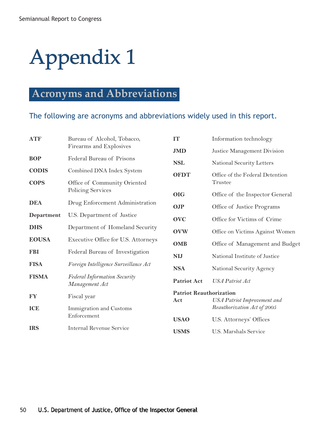## **Acronyms and Abbreviations**

### The following are acronyms and abbreviations widely used in this report.

| <b>ATF</b>   | Bureau of Alcohol, Tobacco,           | <b>IT</b>                      | Information technology                                            |
|--------------|---------------------------------------|--------------------------------|-------------------------------------------------------------------|
|              | Firearms and Explosives               | <b>JMD</b>                     | Justice Management Division                                       |
| <b>BOP</b>   | Federal Bureau of Prisons             | <b>NSL</b>                     | National Security Letters                                         |
| <b>CODIS</b> | Combined DNA Index System             | <b>OFDT</b>                    | Office of the Federal Detention                                   |
| <b>COPS</b>  | Office of Community Oriented          |                                | Trustee                                                           |
|              | Policing Services                     | <b>OIG</b>                     | Office of the Inspector General                                   |
| <b>DEA</b>   | Drug Enforcement Administration       | <b>OJP</b>                     | Office of Justice Programs                                        |
| Department   | U.S. Department of Justice            | <b>OVC</b>                     | Office for Victims of Crime                                       |
| <b>DHS</b>   | Department of Homeland Security       | <b>OVW</b>                     | Office on Victims Against Women                                   |
| <b>EOUSA</b> | Executive Office for U.S. Attorneys   | <b>OMB</b>                     | Office of Management and Budget                                   |
| <b>FBI</b>   | Federal Bureau of Investigation       | <b>NIJ</b>                     | National Institute of Justice                                     |
| <b>FISA</b>  | Foreign Intelligence Surveillance Act | <b>NSA</b>                     |                                                                   |
| <b>FISMA</b> | Federal Information Security          |                                | National Security Agency                                          |
|              | Management Act                        | Patriot Act                    | <b>USA</b> Patriot Act                                            |
| <b>FY</b>    | Fiscal year                           | <b>Patriot Reauthorization</b> |                                                                   |
| <b>ICE</b>   | Immigration and Customs               | Act                            | <b>USA</b> Patriot Improvement and<br>Reauthorization Act of 2005 |
|              | Enforcement                           | <b>USAO</b>                    | U.S. Attorneys' Offices                                           |
| <b>IRS</b>   | <b>Internal Revenue Service</b>       | <b>USMS</b>                    | U.S. Marshals Service                                             |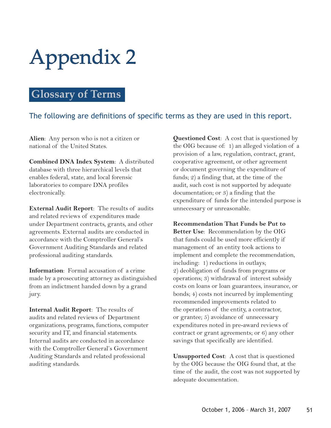### **Glossary of Terms**

### The following are definitions of specific terms as they are used in this report.

**Alien**: Any person who is not a citizen or national of the United States.

**Combined DNA Index System**: A distributed database with three hierarchical levels that enables federal, state, and local forensic laboratories to compare DNA profiles electronically.

**External Audit Report**: The results of audits and related reviews of expenditures made under Department contracts, grants, and other agreements. External audits are conducted in accordance with the Comptroller General's Government Auditing Standards and related professional auditing standards.

**Information**: Formal accusation of a crime made by a prosecuting attorney as distinguished from an indictment handed down by a grand jury.

**Internal Audit Report**: The results of audits and related reviews of Department organizations, programs, functions, computer security and IT, and financial statements. Internal audits are conducted in accordance with the Comptroller General's Government Auditing Standards and related professional auditing standards.

**Questioned Cost**: A cost that is questioned by the OIG because of: 1) an alleged violation of a provision of a law, regulation, contract, grant, cooperative agreement, or other agreement or document governing the expenditure of funds; 2) a finding that, at the time of the audit, such cost is not supported by adequate documentation; or 3) a finding that the expenditure of funds for the intended purpose is unnecessary or unreasonable.

**Recommendation That Funds be Put to Better Use**: Recommendation by the OIG that funds could be used more efficiently if management of an entity took actions to implement and complete the recommendation, including: 1) reductions in outlays; 2) deobligation of funds from programs or operations; 3) withdrawal of interest subsidy costs on loans or loan guarantees, insurance, or bonds; 4) costs not incurred by implementing recommended improvements related to the operations of the entity, a contractor, or grantee; 5) avoidance of unnecessary expenditures noted in pre-award reviews of contract or grant agreements; or 6) any other savings that specifically are identified.

**Unsupported Cost**: A cost that is questioned by the OIG because the OIG found that, at the time of the audit, the cost was not supported by adequate documentation.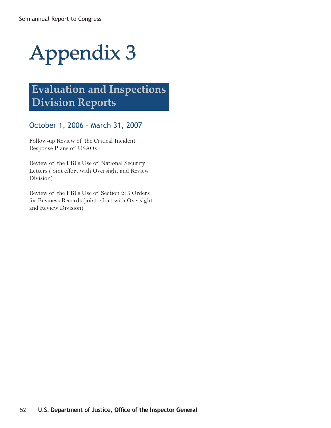## **Evaluation and Inspections Division Reports**

### October 1, 2006 – March 31, 2007

Follow-up Review of the Critical Incident Response Plans of USAOs

Review of the FBI's Use of National Security Letters (joint effort with Oversight and Review Division)

Review of the FBI's Use of Section 215 Orders for Business Records (joint effort with Oversight and Review Division)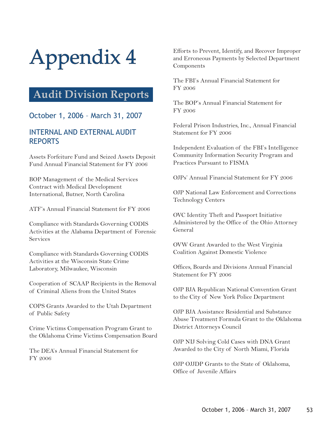### **Audit Division Reports**

### October 1, 2006 – March 31, 2007

### INTERNAL AND EXTERNAL AUDIT REPORTS

Assets Forfeiture Fund and Seized Assets Deposit Fund Annual Financial Statement for FY 2006

BOP Management of the Medical Services Contract with Medical Development International, Butner, North Carolina

ATF's Annual Financial Statement for FY 2006

Compliance with Standards Governing CODIS Activities at the Alabama Department of Forensic Services

Compliance with Standards Governing CODIS Activities at the Wisconsin State Crime Laboratory, Milwaukee, Wisconsin

Cooperation of SCAAP Recipients in the Removal of Criminal Aliens from the United States

COPS Grants Awarded to the Utah Department of Public Safety

Crime Victims Compensation Program Grant to the Oklahoma Crime Victims Compensation Board

The DEA's Annual Financial Statement for FY 2006

Efforts to Prevent, Identify, and Recover Improper and Erroneous Payments by Selected Department Components

The FBI's Annual Financial Statement for FY 2006

The BOP's Annual Financial Statement for FY 2006

Federal Prison Industries, Inc., Annual Financial Statement for FY 2006

Independent Evaluation of the FBI's Intelligence Community Information Security Program and Practices Pursuant to FISMA

OJPs' Annual Financial Statement for FY 2006

OJP National Law Enforcement and Corrections Technology Centers

OVC Identity Theft and Passport Initiative Administered by the Office of the Ohio Attorney General

OVW Grant Awarded to the West Virginia Coalition Against Domestic Violence

Offices, Boards and Divisions Annual Financial Statement for FY 2006

OJP BJA Republican National Convention Grant to the City of New York Police Department

OJP BJA Assistance Residential and Substance Abuse Treatment Formula Grant to the Oklahoma District Attorneys Council

OJP NIJ Solving Cold Cases with DNA Grant Awarded to the City of North Miami, Florida

OJP OJJDP Grants to the State of Oklahoma, Office of Juvenile Affairs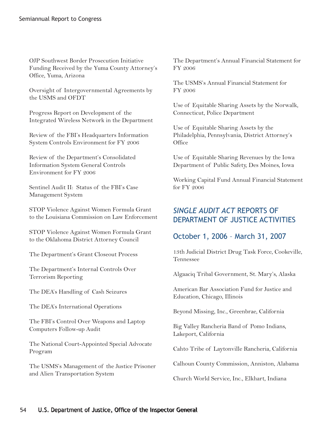OJP Southwest Border Prosecution Initiative Funding Received by the Yuma County Attorney's Office, Yuma, Arizona

Oversight of Intergovernmental Agreements by the USMS and OFDT

Progress Report on Development of the Integrated Wireless Network in the Department

Review of the FBI's Headquarters Information System Controls Environment for FY 2006

Review of the Department's Consolidated Information System General Controls Environment for FY 2006

Sentinel Audit II: Status of the FBI's Case Management System

STOP Violence Against Women Formula Grant to the Louisiana Commission on Law Enforcement

STOP Violence Against Women Formula Grant to the Oklahoma District Attorney Council

The Department's Grant Closeout Process

The Department's Internal Controls Over Terrorism Reporting

The DEA's Handling of Cash Seizures

The DEA's International Operations

The FBI's Control Over Weapons and Laptop Computers Follow-up Audit

The National Court-Appointed Special Advocate Program

The USMS's Management of the Justice Prisoner and Alien Transportation System

The Department's Annual Financial Statement for FY 2006

The USMS's Annual Financial Statement for FY 2006

Use of Equitable Sharing Assets by the Norwalk, Connecticut, Police Department

Use of Equitable Sharing Assets by the Philadelphia, Pennsylvania, District Attorney's **Office** 

Use of Equitable Sharing Revenues by the Iowa Department of Public Safety, Des Moines, Iowa

Working Capital Fund Annual Financial Statement for FY 2006

### *SINGLE AUDIT ACT* REPORTS OF DEPARTMENT OF JUSTICE ACTIVITIES

#### October 1, 2006 – March 31, 2007

13th Judicial District Drug Task Force, Cookeville, Tennessee

Algaaciq Tribal Government, St. Mary's, Alaska

American Bar Association Fund for Justice and Education, Chicago, Illinois

Beyond Missing, Inc., Greenbrae, California

Big Valley Rancheria Band of Pomo Indians, Lakeport, California

Cahto Tribe of Laytonville Rancheria, California

Calhoun County Commission, Anniston, Alabama

Church World Service, Inc., Elkhart, Indiana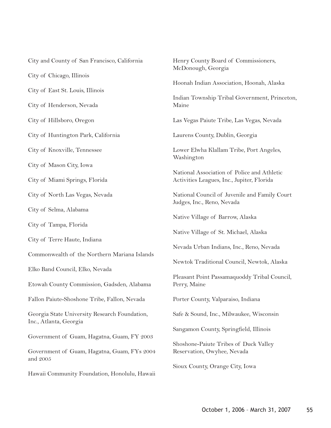| City and County of San Francisco, California                            | Henry C<br>McDono     |
|-------------------------------------------------------------------------|-----------------------|
| City of Chicago, Illinois                                               |                       |
| City of East St. Louis, Illinois                                        | Hoonah                |
| City of Henderson, Nevada                                               | Indian T<br>Maine     |
| City of Hillsboro, Oregon                                               | Las Vega              |
| City of Huntington Park, California                                     | Laurens               |
| City of Knoxville, Tennessee                                            | Lower E<br>Washing    |
| City of Mason City, Iowa                                                |                       |
| City of Miami Springs, Florida                                          | National<br>Activitie |
| City of North Las Vegas, Nevada                                         | National<br>Judges, l |
| City of Selma, Alabama                                                  |                       |
| City of Tampa, Florida                                                  | Native V              |
|                                                                         | Native V              |
| City of Terre Haute, Indiana                                            | Nevada                |
| Commonwealth of the Northern Mariana Islands                            | Newtok                |
| Elko Band Council, Elko, Nevada                                         |                       |
| Etowah County Commission, Gadsden, Alabama                              | Pleasant<br>Perry, M  |
| Fallon Paiute-Shoshone Tribe, Fallon, Nevada                            | Porter C              |
| Georgia State University Research Foundation,<br>Inc., Atlanta, Georgia | Safe & S              |
|                                                                         | Sangamo               |
| Government of Guam, Hagatna, Guam, FY 2003                              | Shoshon               |
| Government of Guam, Hagatna, Guam, FYs 2004<br>and 2005                 | Reservat              |
| Hawaii Community Foundation, Honolulu, Hawaii                           | Sioux Co              |

County Board of Commissioners, bugh, Georgia Indian Association, Hoonah, Alaska Iownship Tribal Government, Princeton, as Paiute Tribe, Las Vegas, Nevada County, Dublin, Georgia Llwha Klallam Tribe, Port Angeles, gton Association of Police and Athletic es Leagues, Inc., Jupiter, Florida Council of Juvenile and Family Court Inc., Reno, Nevada Village of Barrow, Alaska Village of St. Michael, Alaska Urban Indians, Inc., Reno, Nevada Traditional Council, Newtok, Alaska Point Passamaquoddy Tribal Council, *Taine* County, Valparaiso, Indiana ound, Inc., Milwaukee, Wisconsin on County, Springfield, Illinois e-Paiute Tribes of Duck Valley tion, Owyhee, Nevada

ounty, Orange City, Iowa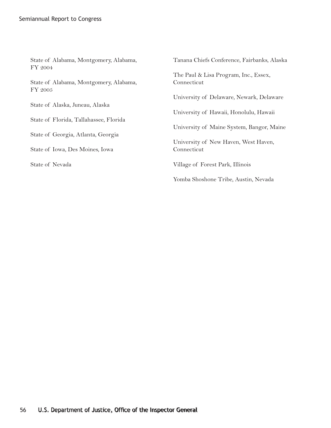| State of Alabama, Montgomery, Alabama,<br>FY 2004 | Tanana Chiefs Conference, Fairbanks, Alaska |
|---------------------------------------------------|---------------------------------------------|
|                                                   | The Paul & Lisa Program, Inc., Essex,       |
| State of Alabama, Montgomery, Alabama,<br>FY 2005 | Connecticut                                 |
|                                                   | University of Delaware, Newark, Delaware    |
| State of Alaska, Juneau, Alaska                   |                                             |
|                                                   | University of Hawaii, Honolulu, Hawaii      |
| State of Florida, Tallahassee, Florida            |                                             |
|                                                   | University of Maine System, Bangor, Maine   |
| State of Georgia, Atlanta, Georgia                |                                             |
|                                                   | University of New Haven, West Haven,        |
| State of Iowa, Des Moines, Iowa                   | Connecticut                                 |
| State of Nevada                                   | Village of Forest Park, Illinois            |
|                                                   | Yomba Shoshone Tribe, Austin, Nevada        |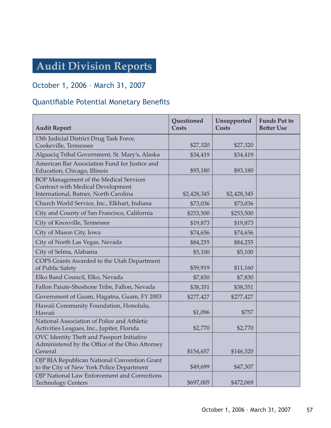## **Audit Division Reports**

### October 1, 2006 – March 31, 2007

### Quantifiable Potential Monetary Benefits

| <b>Audit Report</b>                                                                                                         | Questioned<br><b>Costs</b> | Unsupported<br><b>Costs</b> | <b>Funds Put to</b><br><b>Better Use</b> |
|-----------------------------------------------------------------------------------------------------------------------------|----------------------------|-----------------------------|------------------------------------------|
| 13th Judicial District Drug Task Force,<br>Cookeville, Tennessee                                                            | \$27,320                   | \$27,320                    |                                          |
| Algaaciq Tribal Government, St. Mary's, Alaska                                                                              | \$34,419                   | \$34,419                    |                                          |
| American Bar Association Fund for Justice and<br>Education, Chicago, Illinois                                               | \$93,180                   | \$93,180                    |                                          |
| <b>BOP Management of the Medical Services</b><br>Contract with Medical Development<br>International, Butner, North Carolina | \$2,428,345                | \$2,428,345                 |                                          |
| Church World Service, Inc., Elkhart, Indiana                                                                                | \$73,036                   | \$73,036                    |                                          |
| City and County of San Francisco, California                                                                                | \$253,500                  | \$253,500                   |                                          |
| City of Knoxville, Tennessee                                                                                                | \$19,873                   | \$19,873                    |                                          |
| City of Mason City, Iowa                                                                                                    | \$74,656                   | \$74,656                    |                                          |
| City of North Las Vegas, Nevada                                                                                             | \$84,255                   | \$84,255                    |                                          |
| City of Selma, Alabama                                                                                                      | \$5,100                    | \$5,100                     |                                          |
| COPS Grants Awarded to the Utah Department<br>of Public Safety                                                              | \$59,919                   | \$11,160                    |                                          |
| Elko Band Council, Elko, Nevada                                                                                             | \$7,830                    | \$7,830                     |                                          |
| Fallon Paiute-Shoshone Tribe, Fallon, Nevada                                                                                | \$38,351                   | \$38,351                    |                                          |
| Government of Guam, Hagatna, Guam, FY 2003                                                                                  | \$277,427                  | \$277,427                   |                                          |
| Hawaii Community Foundation, Honolulu,<br>Hawaii                                                                            | \$1,096                    | \$757                       |                                          |
| National Association of Police and Athletic<br>Activities Leagues, Inc., Jupiter, Florida                                   | \$2,770                    | \$2,770                     |                                          |
| OVC Identity Theft and Passport Initiative<br>Administered by the Office of the Ohio Attorney<br>General                    | \$154,657                  | \$146,320                   |                                          |
| OJP BJA Republican National Convention Grant<br>to the City of New York Police Department                                   | \$49,699                   | \$47,307                    |                                          |
| OJP National Law Enforcement and Corrections<br><b>Technology Centers</b>                                                   | \$697,005                  | \$472,069                   |                                          |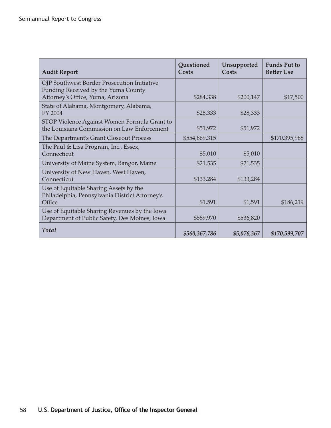| <b>Audit Report</b>                                                                            | Questioned<br>Costs | Unsupported<br>Costs | <b>Funds Put to</b><br><b>Better Use</b> |
|------------------------------------------------------------------------------------------------|---------------------|----------------------|------------------------------------------|
| OJP Southwest Border Prosecution Initiative<br>Funding Received by the Yuma County             |                     |                      |                                          |
| Attorney's Office, Yuma, Arizona                                                               | \$284,338           | \$200,147            | \$17,500                                 |
| State of Alabama, Montgomery, Alabama,<br>FY 2004                                              | \$28,333            | \$28,333             |                                          |
| STOP Violence Against Women Formula Grant to<br>the Louisiana Commission on Law Enforcement    | \$51,972            | \$51,972             |                                          |
| The Department's Grant Closeout Process                                                        | \$554,869,315       |                      | \$170,395,988                            |
| The Paul & Lisa Program, Inc., Essex,<br>Connecticut                                           | \$5,010             | \$5,010              |                                          |
| University of Maine System, Bangor, Maine                                                      | \$21,535            | \$21,535             |                                          |
| University of New Haven, West Haven,<br>Connecticut                                            | \$133,284           | \$133,284            |                                          |
| Use of Equitable Sharing Assets by the<br>Philadelphia, Pennsylvania District Attorney's       |                     |                      |                                          |
| Office                                                                                         | \$1,591             | \$1,591              | \$186,219                                |
| Use of Equitable Sharing Revenues by the Iowa<br>Department of Public Safety, Des Moines, Iowa | \$589,970           | \$536,820            |                                          |
| <b>Total</b>                                                                                   | \$560,367,786       | \$5,076,367          | \$170,599,707                            |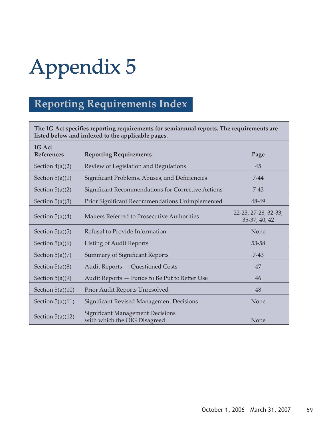## **Reporting Requirements Index**

The IG Act specifies reporting requirements for semiannual reports. The requirements are **listed below and indexed to the applicable pages.**

| <b>IG Act</b><br><b>References</b> | <b>Reporting Requirements</b>                                           | Page                                  |
|------------------------------------|-------------------------------------------------------------------------|---------------------------------------|
| Section $4(a)(2)$                  | Review of Legislation and Regulations                                   | 45                                    |
| Section $5(a)(1)$                  | Significant Problems, Abuses, and Deficiencies                          | $7 - 44$                              |
| Section $5(a)(2)$                  | <b>Significant Recommendations for Corrective Actions</b>               | $7 - 43$                              |
| Section $5(a)(3)$                  | Prior Significant Recommendations Unimplemented                         | 48-49                                 |
| Section $5(a)(4)$                  | Matters Referred to Prosecutive Authorities                             | 22-23, 27-28, 32-33,<br>35-37, 40, 42 |
| Section $5(a)(5)$                  | Refusal to Provide Information                                          | None                                  |
| Section $5(a)(6)$                  | <b>Listing of Audit Reports</b>                                         | 53-58                                 |
| Section $5(a)(7)$                  | <b>Summary of Significant Reports</b>                                   | $7 - 43$                              |
| Section $5(a)(8)$                  | Audit Reports - Questioned Costs                                        | 47                                    |
| Section $5(a)(9)$                  | Audit Reports - Funds to Be Put to Better Use                           | 46                                    |
| Section $5(a)(10)$                 | Prior Audit Reports Unresolved                                          | 48                                    |
| Section $5(a)(11)$                 | <b>Significant Revised Management Decisions</b>                         | None                                  |
| Section $5(a)(12)$                 | <b>Significant Management Decisions</b><br>with which the OIG Disagreed | None                                  |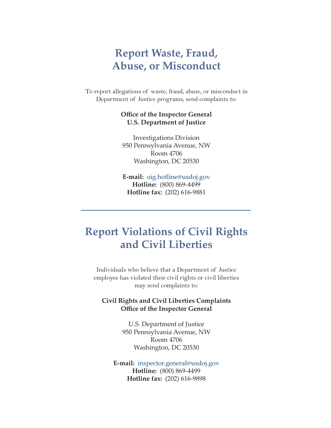### **Report Waste, Fraud, Abuse, or Misconduct**

To report allegations of waste, fraud, abuse, or misconduct in Department of Justice programs, send complaints to:

#### **Office of the Inspector General U.S. Department of Justice**

Investigations Division 950 Pennsylvania Avenue, NW Room 4706 Washington, DC 20530

**E-mail:** oig.hotline@usdoj.gov **Hotline:** (800) 869-4499 **Hotline fax:** (202) 616-9881

### **Report Violations of Civil Rights and Civil Liberties**

Individuals who believe that a Department of Justice employee has violated their civil rights or civil liberties may send complaints to:

#### **Civil Rights and Civil Liberties Complaints Office of the Inspector General**

U.S. Department of Justice 950 Pennsylvania Avenue, NW Room 4706 Washington, DC 20530

**E-mail:** inspector.general@usdoj.gov **Hotline:** (800) 869-4499 **Hotline fax:** (202) 616-9898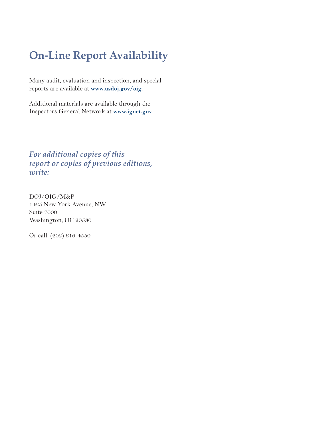## **On-Line Report Availability**

Many audit, evaluation and inspection, and special reports are available at **www.usdoj.gov/oig**.

Additional materials are available through the Inspectors General Network at **www.ignet.gov**.

*For additional copies of this report or copies of previous editions, write:*

DOJ/OIG/M&P 1425 New York Avenue, NW Suite 7000 Washington, DC 20530

Or call: (202) 616-4550